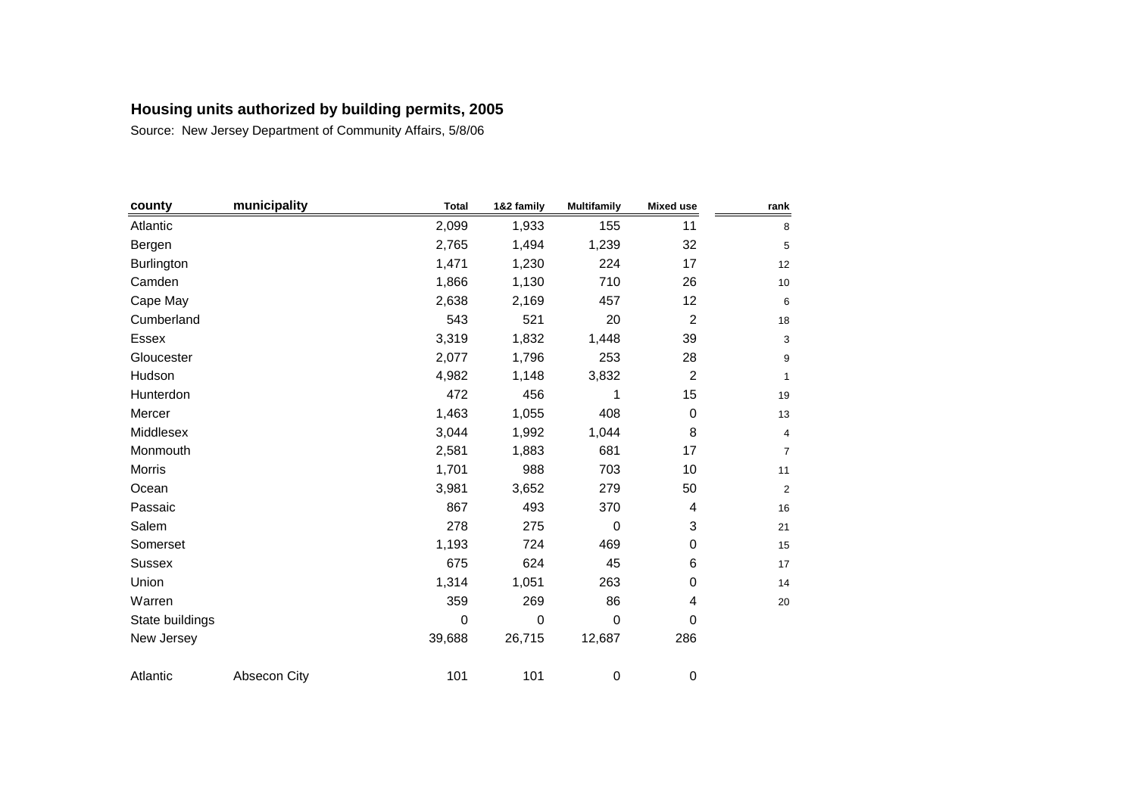| county          | municipality | <b>Total</b> | 1&2 family  | <b>Multifamily</b> | <b>Mixed use</b> | rank           |
|-----------------|--------------|--------------|-------------|--------------------|------------------|----------------|
| Atlantic        |              | 2,099        | 1,933       | 155                | 11               | 8              |
| Bergen          |              | 2,765        | 1,494       | 1,239              | 32               | 5              |
| Burlington      |              | 1,471        | 1,230       | 224                | 17               | 12             |
| Camden          |              | 1,866        | 1,130       | 710                | 26               | 10             |
| Cape May        |              | 2,638        | 2,169       | 457                | 12               | 6              |
| Cumberland      |              | 543          | 521         | 20                 | $\overline{c}$   | 18             |
| <b>Essex</b>    |              | 3,319        | 1,832       | 1,448              | 39               | 3              |
| Gloucester      |              | 2,077        | 1,796       | 253                | 28               | 9              |
| Hudson          |              | 4,982        | 1,148       | 3,832              | $\overline{c}$   | 1              |
| Hunterdon       |              | 472          | 456         | 1                  | 15               | 19             |
| Mercer          |              | 1,463        | 1,055       | 408                | $\pmb{0}$        | 13             |
| Middlesex       |              | 3,044        | 1,992       | 1,044              | 8                | 4              |
| Monmouth        |              | 2,581        | 1,883       | 681                | 17               | 7              |
| Morris          |              | 1,701        | 988         | 703                | 10               | 11             |
| Ocean           |              | 3,981        | 3,652       | 279                | 50               | $\overline{a}$ |
| Passaic         |              | 867          | 493         | 370                | 4                | 16             |
| Salem           |              | 278          | 275         | $\mathbf 0$        | 3                | 21             |
| Somerset        |              | 1,193        | 724         | 469                | $\,0\,$          | 15             |
| <b>Sussex</b>   |              | 675          | 624         | 45                 | 6                | 17             |
| Union           |              | 1,314        | 1,051       | 263                | 0                | 14             |
| Warren          |              | 359          | 269         | 86                 | 4                | 20             |
| State buildings |              | $\mathbf 0$  | $\mathbf 0$ | $\mathbf 0$        | 0                |                |
| New Jersey      |              | 39,688       | 26,715      | 12,687             | 286              |                |
| Atlantic        | Absecon City | 101          | 101         | 0                  | 0                |                |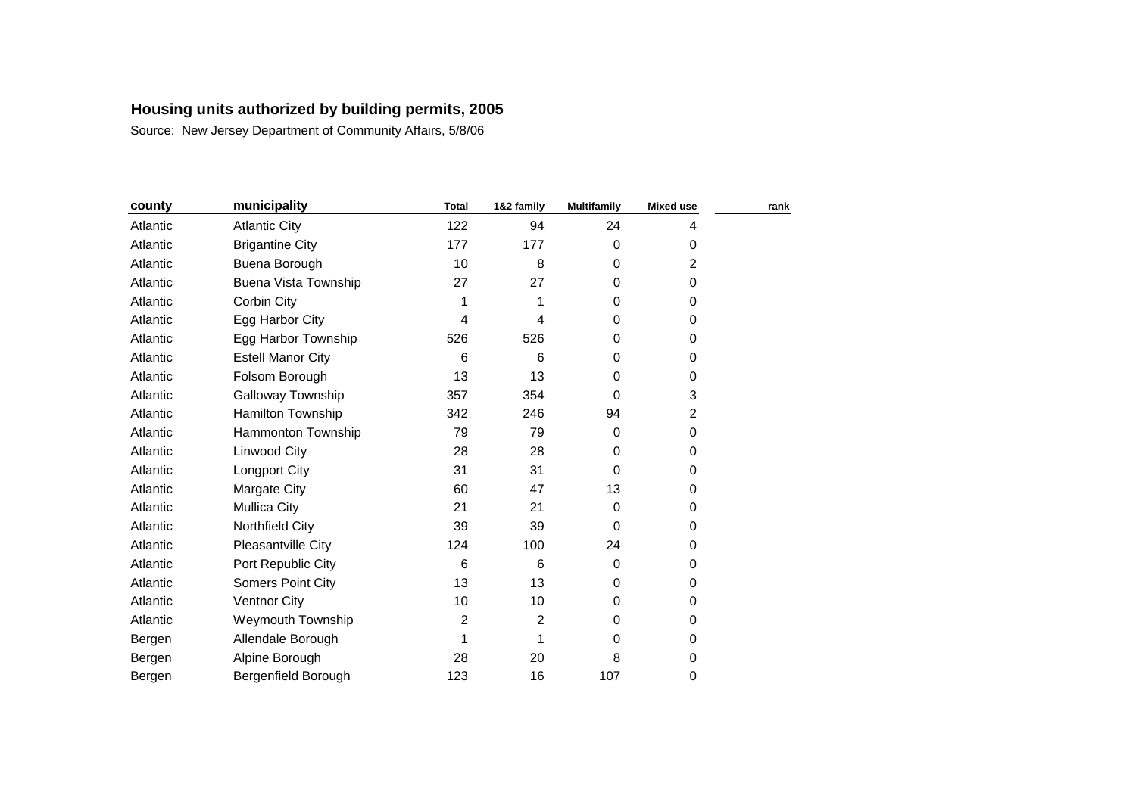| county   | municipality                | <b>Total</b> | 1&2 family | <b>Multifamily</b> | <b>Mixed use</b> | rank |
|----------|-----------------------------|--------------|------------|--------------------|------------------|------|
| Atlantic | <b>Atlantic City</b>        | 122          | 94         | 24                 | 4                |      |
| Atlantic | <b>Brigantine City</b>      | 177          | 177        | 0                  | 0                |      |
| Atlantic | Buena Borough               | 10           | 8          | $\Omega$           | $\overline{c}$   |      |
| Atlantic | <b>Buena Vista Township</b> | 27           | 27         | $\Omega$           | 0                |      |
| Atlantic | Corbin City                 | 1            | 1          | $\Omega$           | 0                |      |
| Atlantic | Egg Harbor City             | 4            | 4          | $\Omega$           | 0                |      |
| Atlantic | Egg Harbor Township         | 526          | 526        | $\Omega$           | 0                |      |
| Atlantic | <b>Estell Manor City</b>    | 6            | 6          | $\Omega$           | 0                |      |
| Atlantic | Folsom Borough              | 13           | 13         | $\Omega$           | 0                |      |
| Atlantic | Galloway Township           | 357          | 354        | $\Omega$           | 3                |      |
| Atlantic | Hamilton Township           | 342          | 246        | 94                 | $\overline{c}$   |      |
| Atlantic | Hammonton Township          | 79           | 79         | 0                  | 0                |      |
| Atlantic | <b>Linwood City</b>         | 28           | 28         | 0                  | 0                |      |
| Atlantic | Longport City               | 31           | 31         | 0                  | 0                |      |
| Atlantic | Margate City                | 60           | 47         | 13                 | 0                |      |
| Atlantic | <b>Mullica City</b>         | 21           | 21         | $\Omega$           | 0                |      |
| Atlantic | Northfield City             | 39           | 39         | $\Omega$           | 0                |      |
| Atlantic | Pleasantville City          | 124          | 100        | 24                 | 0                |      |
| Atlantic | Port Republic City          | 6            | 6          | $\Omega$           | 0                |      |
| Atlantic | Somers Point City           | 13           | 13         | $\Omega$           | 0                |      |
| Atlantic | <b>Ventnor City</b>         | 10           | 10         | 0                  | 0                |      |
| Atlantic | Weymouth Township           | 2            | 2          | 0                  | 0                |      |
| Bergen   | Allendale Borough           | 1            | 1          | $\Omega$           | 0                |      |
| Bergen   | Alpine Borough              | 28           | 20         | 8                  | 0                |      |
| Bergen   | Bergenfield Borough         | 123          | 16         | 107                | 0                |      |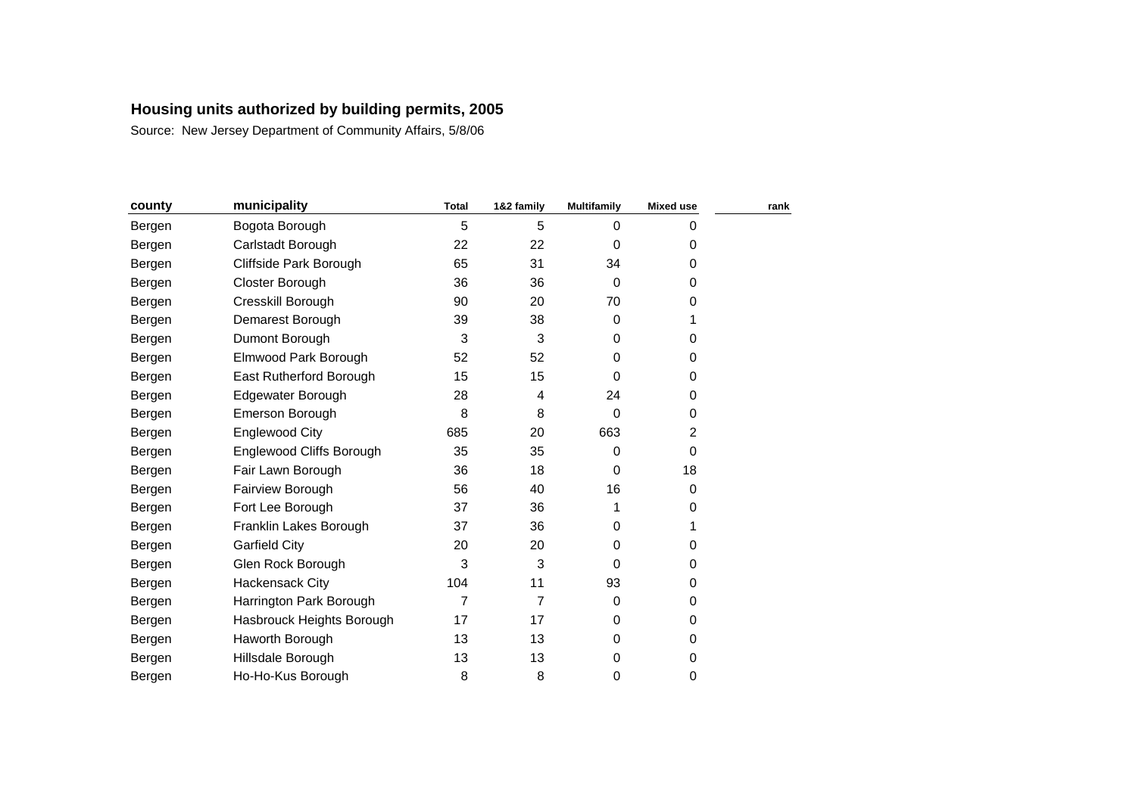| county | municipality              | <b>Total</b> | 1&2 family | <b>Multifamily</b> | <b>Mixed use</b> | rank |
|--------|---------------------------|--------------|------------|--------------------|------------------|------|
| Bergen | Bogota Borough            | 5            | 5          | $\Omega$           | 0                |      |
| Bergen | Carlstadt Borough         | 22           | 22         | $\Omega$           | 0                |      |
| Bergen | Cliffside Park Borough    | 65           | 31         | 34                 | 0                |      |
| Bergen | Closter Borough           | 36           | 36         | 0                  | 0                |      |
| Bergen | Cresskill Borough         | 90           | 20         | 70                 | 0                |      |
| Bergen | Demarest Borough          | 39           | 38         | $\mathbf 0$        | 1                |      |
| Bergen | Dumont Borough            | 3            | 3          | $\Omega$           | 0                |      |
| Bergen | Elmwood Park Borough      | 52           | 52         | 0                  | 0                |      |
| Bergen | East Rutherford Borough   | 15           | 15         | $\Omega$           | 0                |      |
| Bergen | Edgewater Borough         | 28           | 4          | 24                 | 0                |      |
| Bergen | Emerson Borough           | 8            | 8          | 0                  | 0                |      |
| Bergen | Englewood City            | 685          | 20         | 663                | 2                |      |
| Bergen | Englewood Cliffs Borough  | 35           | 35         | $\Omega$           | 0                |      |
| Bergen | Fair Lawn Borough         | 36           | 18         | 0                  | 18               |      |
| Bergen | Fairview Borough          | 56           | 40         | 16                 | 0                |      |
| Bergen | Fort Lee Borough          | 37           | 36         | 1                  | 0                |      |
| Bergen | Franklin Lakes Borough    | 37           | 36         | 0                  | 1                |      |
| Bergen | <b>Garfield City</b>      | 20           | 20         | 0                  | 0                |      |
| Bergen | Glen Rock Borough         | 3            | 3          | $\Omega$           | 0                |      |
| Bergen | <b>Hackensack City</b>    | 104          | 11         | 93                 | 0                |      |
| Bergen | Harrington Park Borough   | 7            | 7          | 0                  | 0                |      |
| Bergen | Hasbrouck Heights Borough | 17           | 17         | $\Omega$           | 0                |      |
| Bergen | Haworth Borough           | 13           | 13         | 0                  | 0                |      |
| Bergen | Hillsdale Borough         | 13           | 13         | 0                  | 0                |      |
| Bergen | Ho-Ho-Kus Borough         | 8            | 8          | 0                  | 0                |      |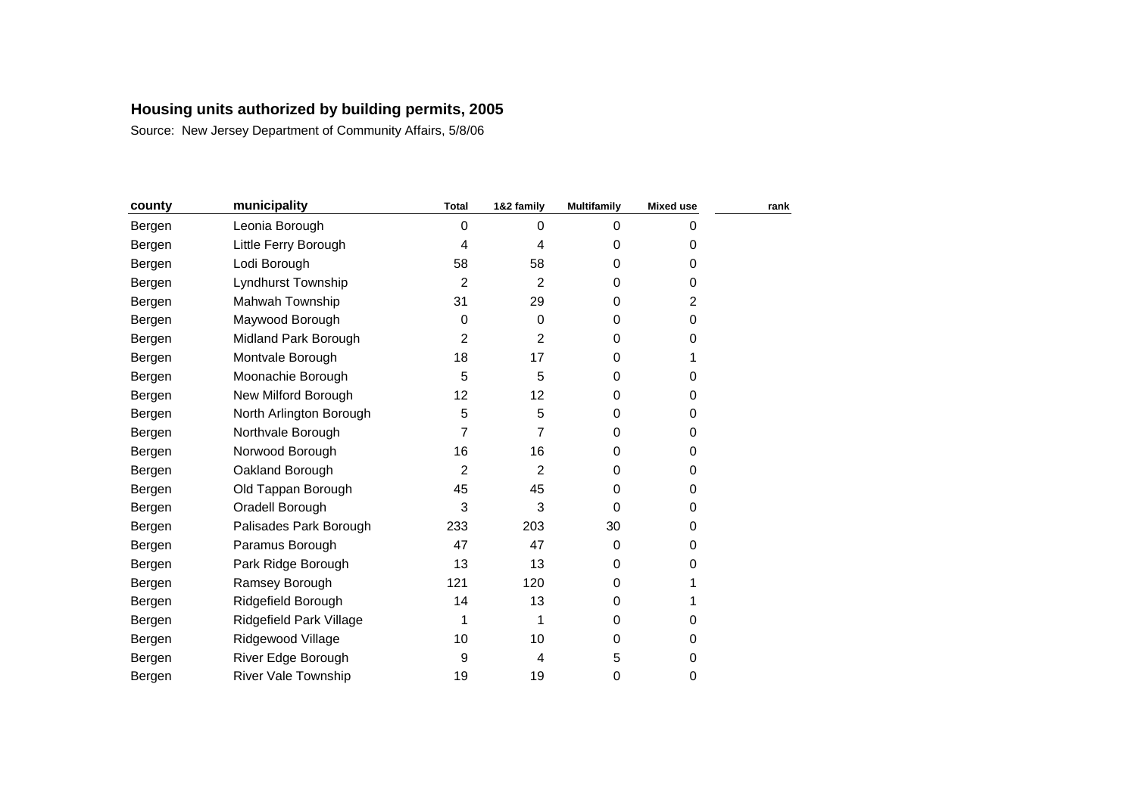| county | municipality               | <b>Total</b> | 1&2 family     | <b>Multifamily</b> | <b>Mixed use</b> | rank |
|--------|----------------------------|--------------|----------------|--------------------|------------------|------|
| Bergen | Leonia Borough             | 0            | $\mathbf 0$    | $\mathbf 0$        | 0                |      |
| Bergen | Little Ferry Borough       | 4            | 4              | 0                  | 0                |      |
| Bergen | Lodi Borough               | 58           | 58             | 0                  | 0                |      |
| Bergen | Lyndhurst Township         | 2            | $\overline{2}$ | 0                  | 0                |      |
| Bergen | Mahwah Township            | 31           | 29             | 0                  | $\overline{c}$   |      |
| Bergen | Maywood Borough            | 0            | 0              | 0                  | 0                |      |
| Bergen | Midland Park Borough       | 2            | 2              | 0                  | 0                |      |
| Bergen | Montvale Borough           | 18           | 17             | 0                  |                  |      |
| Bergen | Moonachie Borough          | 5            | 5              | 0                  | 0                |      |
| Bergen | New Milford Borough        | 12           | 12             | 0                  | 0                |      |
| Bergen | North Arlington Borough    | 5            | 5              | 0                  | 0                |      |
| Bergen | Northvale Borough          | 7            | 7              | 0                  | 0                |      |
| Bergen | Norwood Borough            | 16           | 16             | 0                  | 0                |      |
| Bergen | Oakland Borough            | 2            | $\overline{2}$ | $\Omega$           | 0                |      |
| Bergen | Old Tappan Borough         | 45           | 45             | 0                  | 0                |      |
| Bergen | Oradell Borough            | 3            | 3              | $\Omega$           | 0                |      |
| Bergen | Palisades Park Borough     | 233          | 203            | 30                 | 0                |      |
| Bergen | Paramus Borough            | 47           | 47             | 0                  | 0                |      |
| Bergen | Park Ridge Borough         | 13           | 13             | 0                  | 0                |      |
| Bergen | Ramsey Borough             | 121          | 120            | 0                  |                  |      |
| Bergen | Ridgefield Borough         | 14           | 13             | 0                  |                  |      |
| Bergen | Ridgefield Park Village    | 1            | 1              | 0                  | 0                |      |
| Bergen | Ridgewood Village          | 10           | 10             | $\Omega$           | 0                |      |
| Bergen | River Edge Borough         | 9            | 4              | 5                  | 0                |      |
| Bergen | <b>River Vale Township</b> | 19           | 19             | 0                  | 0                |      |
|        |                            |              |                |                    |                  |      |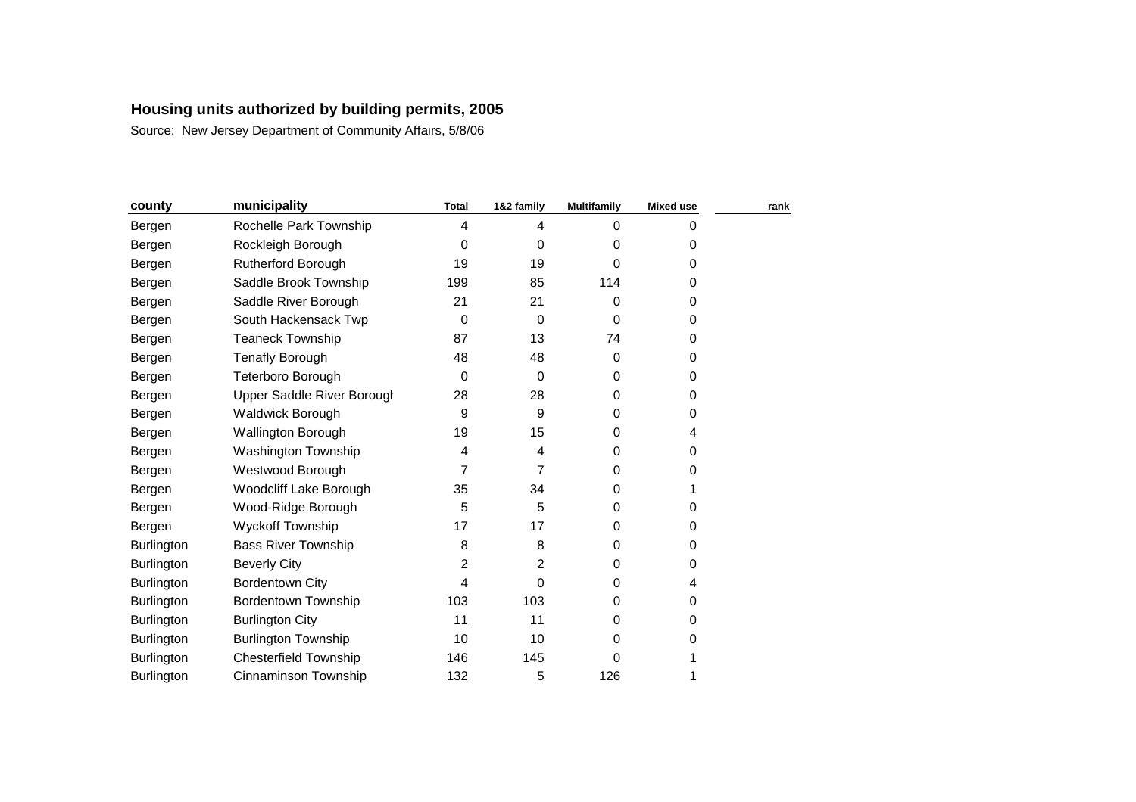| county            | municipality                 | <b>Total</b> | 1&2 family  | <b>Multifamily</b> | <b>Mixed use</b> | rank |
|-------------------|------------------------------|--------------|-------------|--------------------|------------------|------|
| Bergen            | Rochelle Park Township       | 4            | 4           | 0                  | 0                |      |
| Bergen            | Rockleigh Borough            | 0            | $\mathbf 0$ | 0                  | 0                |      |
| Bergen            | <b>Rutherford Borough</b>    | 19           | 19          | $\Omega$           | 0                |      |
| Bergen            | Saddle Brook Township        | 199          | 85          | 114                | 0                |      |
| Bergen            | Saddle River Borough         | 21           | 21          | 0                  | 0                |      |
| Bergen            | South Hackensack Twp         | 0            | $\Omega$    | $\Omega$           | 0                |      |
| Bergen            | <b>Teaneck Township</b>      | 87           | 13          | 74                 | 0                |      |
| Bergen            | <b>Tenafly Borough</b>       | 48           | 48          | 0                  | 0                |      |
| Bergen            | Teterboro Borough            | 0            | $\mathbf 0$ | 0                  | 0                |      |
| Bergen            | Upper Saddle River Borough   | 28           | 28          | $\Omega$           | 0                |      |
| Bergen            | <b>Waldwick Borough</b>      | 9            | 9           | 0                  | 0                |      |
| Bergen            | <b>Wallington Borough</b>    | 19           | 15          | 0                  | 4                |      |
| Bergen            | Washington Township          | 4            | 4           | 0                  | 0                |      |
| Bergen            | Westwood Borough             | 7            | 7           | 0                  | 0                |      |
| Bergen            | Woodcliff Lake Borough       | 35           | 34          | 0                  |                  |      |
| Bergen            | Wood-Ridge Borough           | 5            | 5           | $\Omega$           | 0                |      |
| Bergen            | Wyckoff Township             | 17           | 17          | 0                  | 0                |      |
| <b>Burlington</b> | <b>Bass River Township</b>   | 8            | 8           | $\Omega$           | 0                |      |
| Burlington        | <b>Beverly City</b>          | 2            | 2           | $\Omega$           | 0                |      |
| Burlington        | <b>Bordentown City</b>       | 4            | $\Omega$    | $\Omega$           | 4                |      |
| Burlington        | <b>Bordentown Township</b>   | 103          | 103         | $\Omega$           | 0                |      |
| Burlington        | <b>Burlington City</b>       | 11           | 11          | 0                  | 0                |      |
| Burlington        | <b>Burlington Township</b>   | 10           | 10          | $\Omega$           | 0                |      |
| Burlington        | <b>Chesterfield Township</b> | 146          | 145         | 0                  |                  |      |
| Burlington        | Cinnaminson Township         | 132          | 5           | 126                |                  |      |
|                   |                              |              |             |                    |                  |      |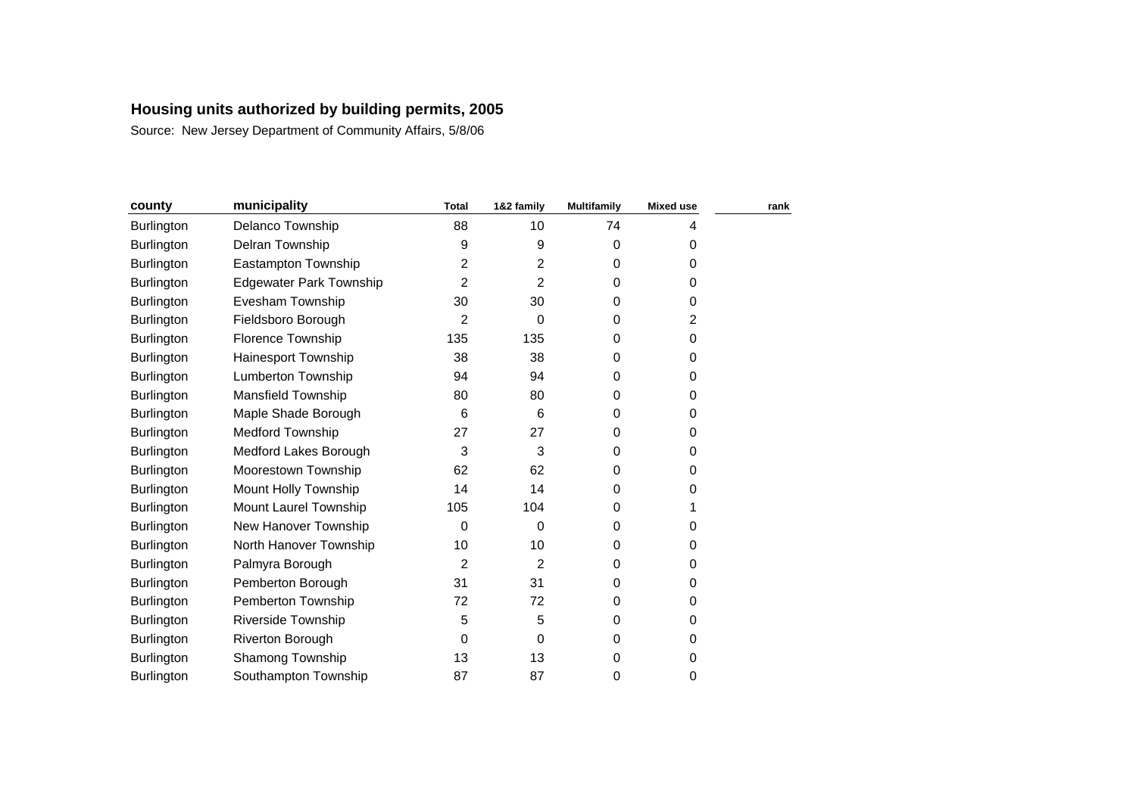| county            | municipality                   | <b>Total</b>   | 1&2 family     | <b>Multifamily</b> | <b>Mixed use</b> | rank |
|-------------------|--------------------------------|----------------|----------------|--------------------|------------------|------|
| Burlington        | Delanco Township               | 88             | 10             | 74                 | 4                |      |
| <b>Burlington</b> | Delran Township                | 9              | 9              | 0                  | 0                |      |
| Burlington        | Eastampton Township            | $\overline{c}$ | 2              | 0                  | 0                |      |
| Burlington        | <b>Edgewater Park Township</b> | 2              | 2              | 0                  | 0                |      |
| Burlington        | Evesham Township               | 30             | 30             | 0                  | 0                |      |
| Burlington        | Fieldsboro Borough             | 2              | 0              | 0                  | 2                |      |
| <b>Burlington</b> | Florence Township              | 135            | 135            | 0                  | 0                |      |
| <b>Burlington</b> | Hainesport Township            | 38             | 38             | 0                  | 0                |      |
| <b>Burlington</b> | <b>Lumberton Township</b>      | 94             | 94             | $\Omega$           | 0                |      |
| Burlington        | <b>Mansfield Township</b>      | 80             | 80             | 0                  | 0                |      |
| <b>Burlington</b> | Maple Shade Borough            | 6              | 6              | 0                  | 0                |      |
| Burlington        | <b>Medford Township</b>        | 27             | 27             | 0                  | 0                |      |
| Burlington        | Medford Lakes Borough          | 3              | 3              | 0                  | 0                |      |
| Burlington        | Moorestown Township            | 62             | 62             | $\Omega$           | 0                |      |
| <b>Burlington</b> | Mount Holly Township           | 14             | 14             | 0                  | 0                |      |
| <b>Burlington</b> | Mount Laurel Township          | 105            | 104            | 0                  |                  |      |
| <b>Burlington</b> | New Hanover Township           | 0              | $\Omega$       | $\Omega$           | 0                |      |
| <b>Burlington</b> | North Hanover Township         | 10             | 10             | 0                  | 0                |      |
| Burlington        | Palmyra Borough                | $\overline{2}$ | $\overline{2}$ | 0                  | 0                |      |
| Burlington        | Pemberton Borough              | 31             | 31             | 0                  | 0                |      |
| Burlington        | Pemberton Township             | 72             | 72             | 0                  | 0                |      |
| Burlington        | <b>Riverside Township</b>      | 5              | 5              | $\Omega$           | 0                |      |
| Burlington        | Riverton Borough               | 0              | 0              | 0                  | 0                |      |
| Burlington        | Shamong Township               | 13             | 13             | 0                  | 0                |      |
| <b>Burlington</b> | Southampton Township           | 87             | 87             | 0                  | 0                |      |
|                   |                                |                |                |                    |                  |      |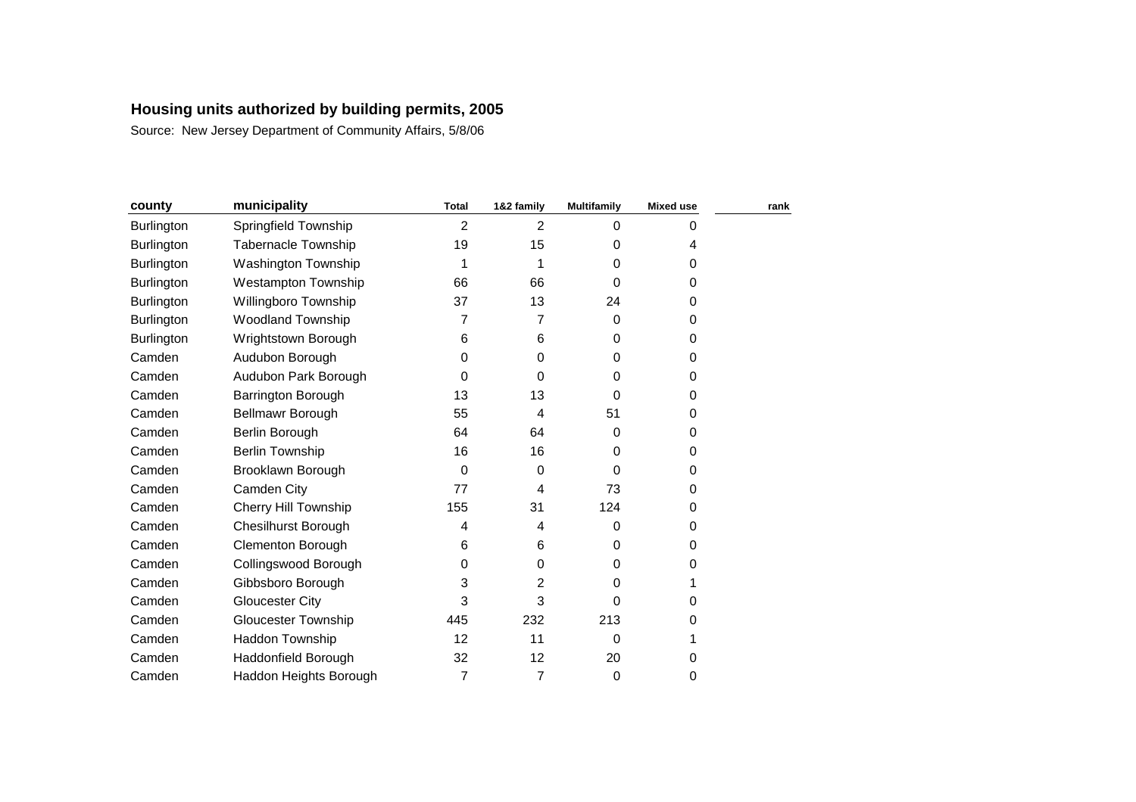| county            | municipality               | <b>Total</b>   | 1&2 family     | <b>Multifamily</b> | <b>Mixed use</b> | rank |
|-------------------|----------------------------|----------------|----------------|--------------------|------------------|------|
| Burlington        | Springfield Township       | $\overline{2}$ | $\overline{2}$ | $\Omega$           | 0                |      |
| <b>Burlington</b> | <b>Tabernacle Township</b> | 19             | 15             | 0                  | 4                |      |
| <b>Burlington</b> | Washington Township        | 1              |                | 0                  | 0                |      |
| <b>Burlington</b> | <b>Westampton Township</b> | 66             | 66             | 0                  | 0                |      |
| <b>Burlington</b> | Willingboro Township       | 37             | 13             | 24                 | 0                |      |
| Burlington        | Woodland Township          | 7              | 7              | 0                  | 0                |      |
| <b>Burlington</b> | Wrightstown Borough        | 6              | 6              | 0                  | 0                |      |
| Camden            | Audubon Borough            | 0              | 0              | 0                  | 0                |      |
| Camden            | Audubon Park Borough       | 0              | $\Omega$       | $\Omega$           | 0                |      |
| Camden            | Barrington Borough         | 13             | 13             | 0                  | 0                |      |
| Camden            | Bellmawr Borough           | 55             | 4              | 51                 | 0                |      |
| Camden            | Berlin Borough             | 64             | 64             | $\Omega$           | 0                |      |
| Camden            | <b>Berlin Township</b>     | 16             | 16             | $\Omega$           | 0                |      |
| Camden            | Brooklawn Borough          | $\mathbf 0$    | 0              | 0                  | 0                |      |
| Camden            | Camden City                | 77             | 4              | 73                 | 0                |      |
| Camden            | Cherry Hill Township       | 155            | 31             | 124                | 0                |      |
| Camden            | <b>Chesilhurst Borough</b> | 4              | 4              | $\Omega$           | 0                |      |
| Camden            | <b>Clementon Borough</b>   | 6              | 6              | 0                  | 0                |      |
| Camden            | Collingswood Borough       | 0              | 0              | 0                  | 0                |      |
| Camden            | Gibbsboro Borough          | 3              | 2              | $\Omega$           |                  |      |
| Camden            | <b>Gloucester City</b>     | 3              | 3              | 0                  | 0                |      |
| Camden            | <b>Gloucester Township</b> | 445            | 232            | 213                | 0                |      |
| Camden            | Haddon Township            | 12             | 11             | 0                  |                  |      |
| Camden            | Haddonfield Borough        | 32             | 12             | 20                 | 0                |      |
| Camden            | Haddon Heights Borough     | 7              | 7              | 0                  | 0                |      |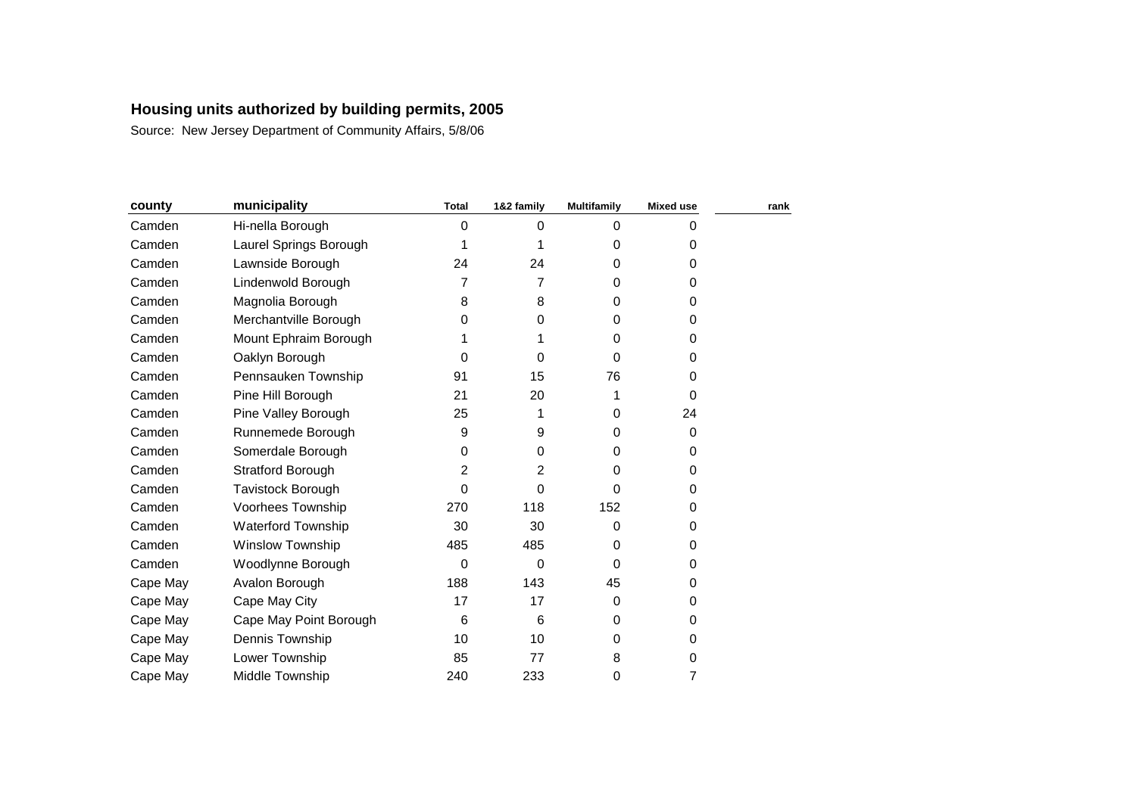| county   | municipality              | <b>Total</b>     | 1&2 family | <b>Multifamily</b> | <b>Mixed use</b> | rank |
|----------|---------------------------|------------------|------------|--------------------|------------------|------|
| Camden   | Hi-nella Borough          | 0                | $\Omega$   | $\Omega$           | 0                |      |
| Camden   | Laurel Springs Borough    | 1                |            | 0                  | 0                |      |
| Camden   | Lawnside Borough          | 24               | 24         | $\Omega$           | 0                |      |
| Camden   | Lindenwold Borough        | 7                | 7          | 0                  | 0                |      |
| Camden   | Magnolia Borough          | 8                | 8          | $\Omega$           | 0                |      |
| Camden   | Merchantville Borough     | 0                | $\Omega$   | 0                  | 0                |      |
| Camden   | Mount Ephraim Borough     | 1                |            | 0                  | 0                |      |
| Camden   | Oaklyn Borough            | 0                | $\Omega$   | $\Omega$           | 0                |      |
| Camden   | Pennsauken Township       | 91               | 15         | 76                 | 0                |      |
| Camden   | Pine Hill Borough         | 21               | 20         |                    | 0                |      |
| Camden   | Pine Valley Borough       | 25               |            | $\Omega$           | 24               |      |
| Camden   | Runnemede Borough         | $\boldsymbol{9}$ | 9          | 0                  | 0                |      |
| Camden   | Somerdale Borough         | 0                | 0          | 0                  | 0                |      |
| Camden   | <b>Stratford Borough</b>  | 2                | 2          | 0                  | 0                |      |
| Camden   | Tavistock Borough         | 0                | 0          | 0                  | 0                |      |
| Camden   | Voorhees Township         | 270              | 118        | 152                | 0                |      |
| Camden   | <b>Waterford Township</b> | 30               | 30         | 0                  | 0                |      |
| Camden   | <b>Winslow Township</b>   | 485              | 485        | $\Omega$           | 0                |      |
| Camden   | Woodlynne Borough         | 0                | $\Omega$   | 0                  | 0                |      |
| Cape May | Avalon Borough            | 188              | 143        | 45                 | 0                |      |
| Cape May | Cape May City             | 17               | 17         | $\Omega$           | 0                |      |
| Cape May | Cape May Point Borough    | 6                | 6          | $\Omega$           | 0                |      |
| Cape May | Dennis Township           | 10               | 10         | $\Omega$           | 0                |      |
| Cape May | Lower Township            | 85               | 77         | 8                  | 0                |      |
| Cape May | Middle Township           | 240              | 233        | 0                  | 7                |      |
|          |                           |                  |            |                    |                  |      |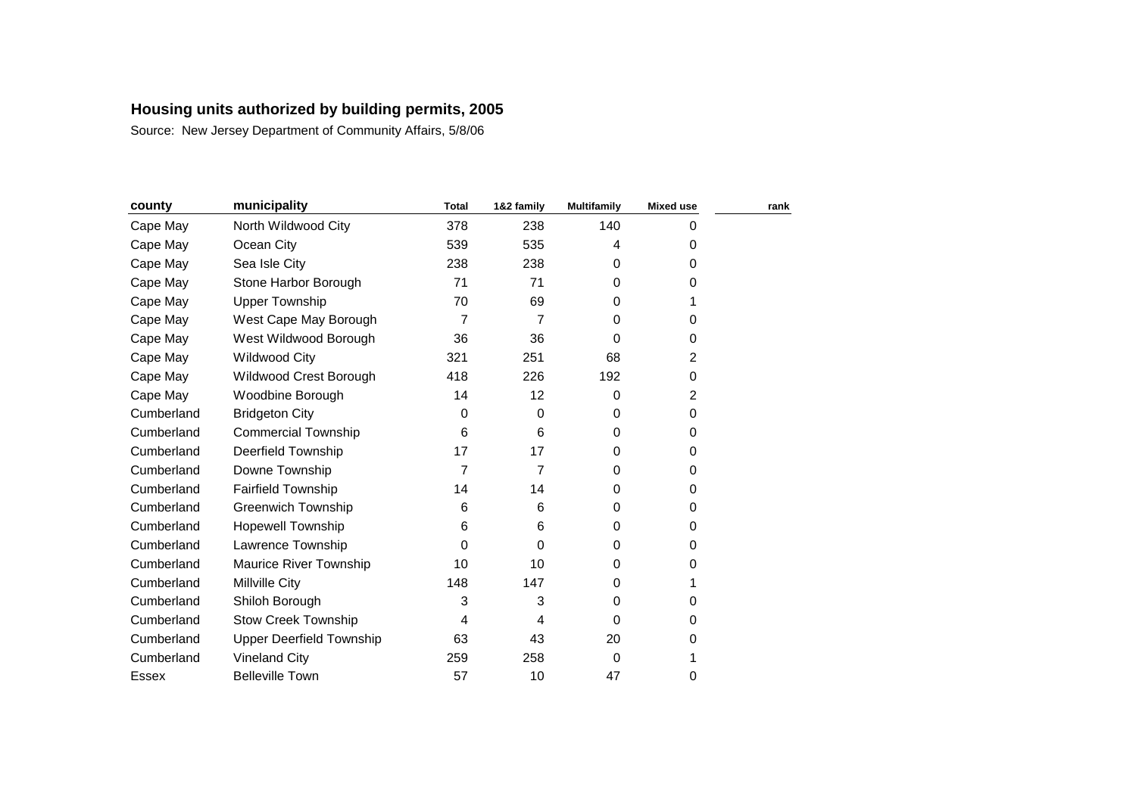| county     | municipality                    | <b>Total</b> | 1&2 family | <b>Multifamily</b> | <b>Mixed use</b> | rank |
|------------|---------------------------------|--------------|------------|--------------------|------------------|------|
| Cape May   | North Wildwood City             | 378          | 238        | 140                | 0                |      |
| Cape May   | Ocean City                      | 539          | 535        | 4                  | 0                |      |
| Cape May   | Sea Isle City                   | 238          | 238        | 0                  | 0                |      |
| Cape May   | Stone Harbor Borough            | 71           | 71         | 0                  | 0                |      |
| Cape May   | <b>Upper Township</b>           | 70           | 69         | 0                  | 1                |      |
| Cape May   | West Cape May Borough           | 7            | 7          | 0                  | 0                |      |
| Cape May   | West Wildwood Borough           | 36           | 36         | 0                  | 0                |      |
| Cape May   | <b>Wildwood City</b>            | 321          | 251        | 68                 | 2                |      |
| Cape May   | Wildwood Crest Borough          | 418          | 226        | 192                | 0                |      |
| Cape May   | Woodbine Borough                | 14           | 12         | 0                  | 2                |      |
| Cumberland | <b>Bridgeton City</b>           | 0            | $\Omega$   | $\Omega$           | 0                |      |
| Cumberland | <b>Commercial Township</b>      | 6            | 6          | $\Omega$           | 0                |      |
| Cumberland | Deerfield Township              | 17           | 17         | $\Omega$           | 0                |      |
| Cumberland | Downe Township                  | 7            | 7          | $\Omega$           | 0                |      |
| Cumberland | Fairfield Township              | 14           | 14         | 0                  | 0                |      |
| Cumberland | <b>Greenwich Township</b>       | 6            | 6          | 0                  | 0                |      |
| Cumberland | <b>Hopewell Township</b>        | 6            | 6          | $\Omega$           | 0                |      |
| Cumberland | Lawrence Township               | 0            | $\Omega$   | $\Omega$           | 0                |      |
| Cumberland | Maurice River Township          | 10           | 10         | 0                  | 0                |      |
| Cumberland | Millville City                  | 148          | 147        | $\Omega$           | 1                |      |
| Cumberland | Shiloh Borough                  | 3            | 3          | 0                  | 0                |      |
| Cumberland | <b>Stow Creek Township</b>      | 4            | 4          | $\Omega$           | 0                |      |
| Cumberland | <b>Upper Deerfield Township</b> | 63           | 43         | 20                 | 0                |      |
| Cumberland | <b>Vineland City</b>            | 259          | 258        | 0                  |                  |      |
| Essex      | <b>Belleville Town</b>          | 57           | 10         | 47                 | 0                |      |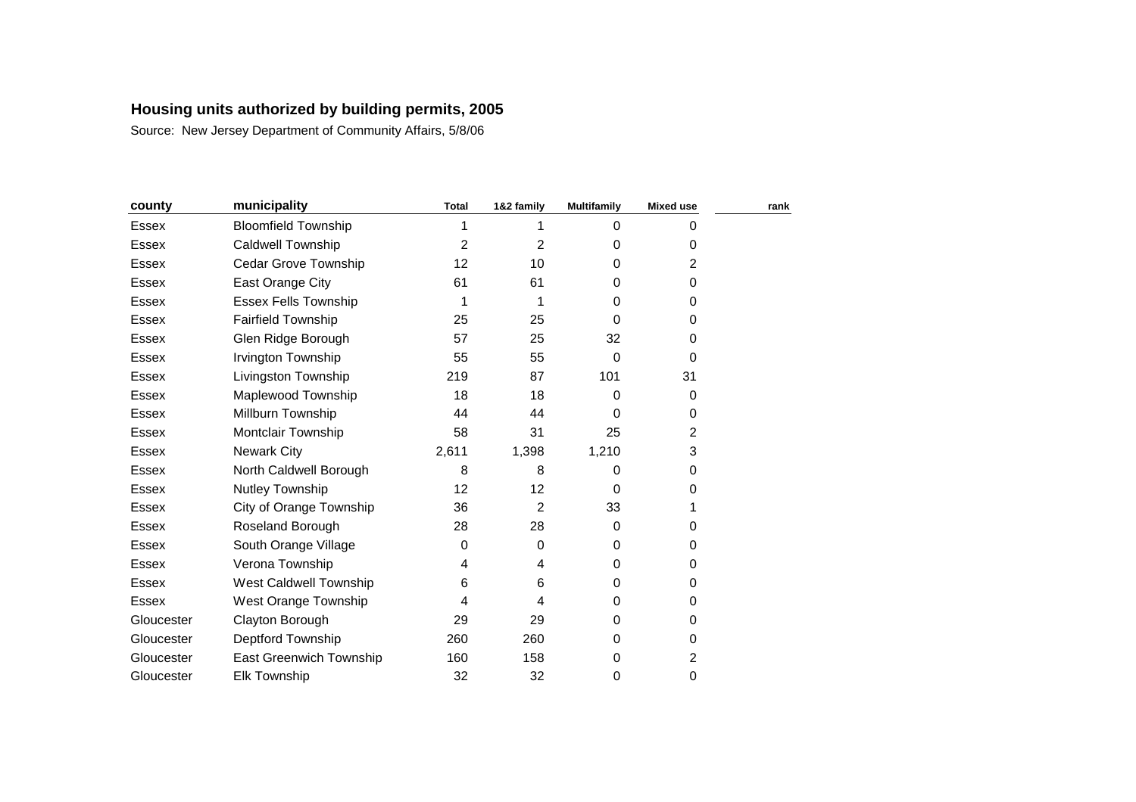| county       | municipality                | <b>Total</b> | 1&2 family     | <b>Multifamily</b> | <b>Mixed use</b> | rank |
|--------------|-----------------------------|--------------|----------------|--------------------|------------------|------|
| <b>Essex</b> | <b>Bloomfield Township</b>  | 1            |                | $\Omega$           | 0                |      |
| <b>Essex</b> | <b>Caldwell Township</b>    | 2            | $\overline{2}$ | 0                  | 0                |      |
| <b>Essex</b> | <b>Cedar Grove Township</b> | 12           | 10             | 0                  | 2                |      |
| <b>Essex</b> | East Orange City            | 61           | 61             | 0                  | 0                |      |
| Essex        | <b>Essex Fells Township</b> | 1            |                | 0                  | 0                |      |
| <b>Essex</b> | <b>Fairfield Township</b>   | 25           | 25             | $\Omega$           | 0                |      |
| Essex        | Glen Ridge Borough          | 57           | 25             | 32                 | 0                |      |
| Essex        | Irvington Township          | 55           | 55             | $\Omega$           | 0                |      |
| Essex        | Livingston Township         | 219          | 87             | 101                | 31               |      |
| <b>Essex</b> | Maplewood Township          | 18           | 18             | 0                  | 0                |      |
| <b>Essex</b> | Millburn Township           | 44           | 44             | $\Omega$           | 0                |      |
| <b>Essex</b> | <b>Montclair Township</b>   | 58           | 31             | 25                 | $\overline{2}$   |      |
| <b>Essex</b> | Newark City                 | 2,611        | 1,398          | 1,210              | 3                |      |
| Essex        | North Caldwell Borough      | 8            | 8              | 0                  | 0                |      |
| <b>Essex</b> | Nutley Township             | 12           | 12             | $\Omega$           | 0                |      |
| Essex        | City of Orange Township     | 36           | $\overline{2}$ | 33                 |                  |      |
| Essex        | Roseland Borough            | 28           | 28             | $\Omega$           | 0                |      |
| <b>Essex</b> | South Orange Village        | 0            | $\Omega$       | $\Omega$           | 0                |      |
| <b>Essex</b> | Verona Township             | 4            | 4              | $\Omega$           | 0                |      |
| <b>Essex</b> | West Caldwell Township      | 6            | 6              | 0                  | 0                |      |
| <b>Essex</b> | West Orange Township        | 4            | 4              | 0                  | 0                |      |
| Gloucester   | Clayton Borough             | 29           | 29             | $\Omega$           | 0                |      |
| Gloucester   | Deptford Township           | 260          | 260            | $\Omega$           | 0                |      |
| Gloucester   | East Greenwich Township     | 160          | 158            | 0                  | $\overline{c}$   |      |
| Gloucester   | <b>Elk Township</b>         | 32           | 32             | 0                  | 0                |      |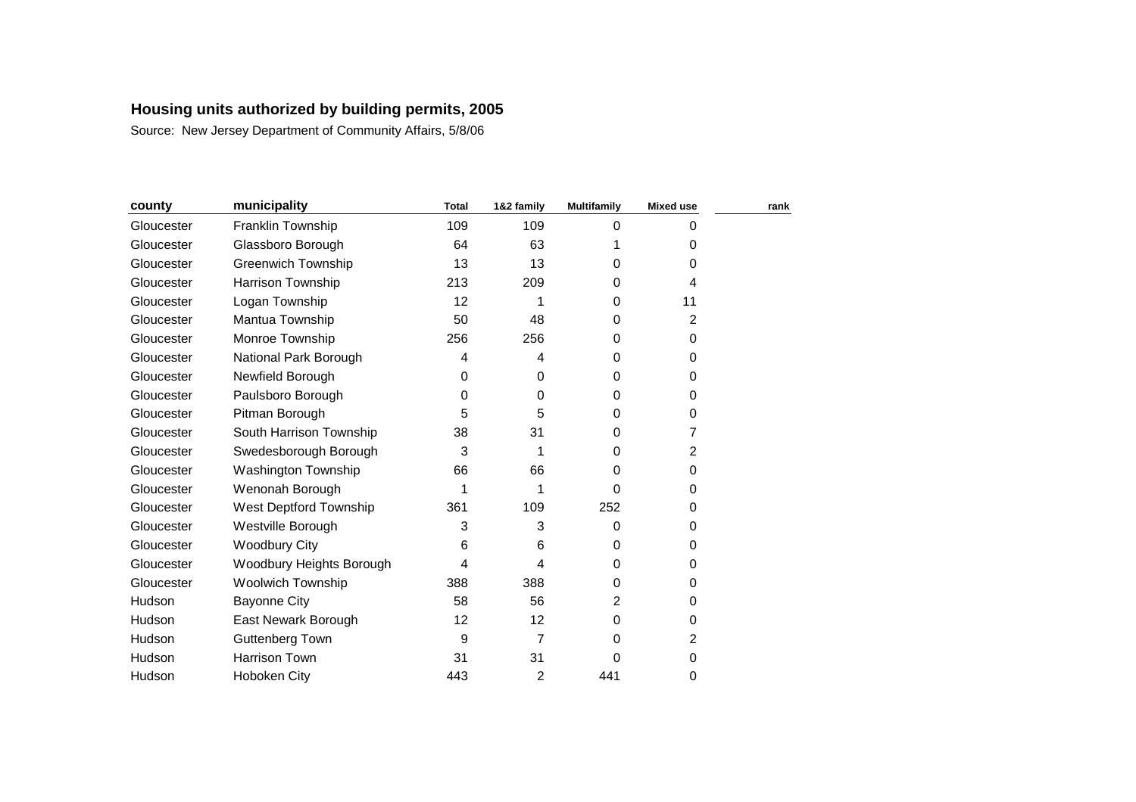| county     | municipality               | <b>Total</b> | 1&2 family | <b>Multifamily</b> | <b>Mixed use</b> | rank |
|------------|----------------------------|--------------|------------|--------------------|------------------|------|
| Gloucester | Franklin Township          | 109          | 109        | $\Omega$           | 0                |      |
| Gloucester | Glassboro Borough          | 64           | 63         | 1                  | 0                |      |
| Gloucester | <b>Greenwich Township</b>  | 13           | 13         | 0                  | 0                |      |
| Gloucester | Harrison Township          | 213          | 209        | $\Omega$           | 4                |      |
| Gloucester | Logan Township             | 12           |            | $\Omega$           | 11               |      |
| Gloucester | Mantua Township            | 50           | 48         | $\Omega$           | $\overline{c}$   |      |
| Gloucester | Monroe Township            | 256          | 256        | 0                  | 0                |      |
| Gloucester | National Park Borough      | 4            | 4          | $\Omega$           | 0                |      |
| Gloucester | Newfield Borough           | 0            | $\Omega$   | $\Omega$           | 0                |      |
| Gloucester | Paulsboro Borough          | 0            | 0          | 0                  | 0                |      |
| Gloucester | Pitman Borough             | 5            | 5          | $\Omega$           | 0                |      |
| Gloucester | South Harrison Township    | 38           | 31         | 0                  | 7                |      |
| Gloucester | Swedesborough Borough      | 3            | 1          | $\Omega$           | $\overline{2}$   |      |
| Gloucester | <b>Washington Township</b> | 66           | 66         | 0                  | 0                |      |
| Gloucester | Wenonah Borough            | 1            | 1          | 0                  | 0                |      |
| Gloucester | West Deptford Township     | 361          | 109        | 252                | 0                |      |
| Gloucester | Westville Borough          | 3            | 3          | 0                  | 0                |      |
| Gloucester | <b>Woodbury City</b>       | 6            | 6          | $\Omega$           | 0                |      |
| Gloucester | Woodbury Heights Borough   | 4            | 4          | $\Omega$           | 0                |      |
| Gloucester | <b>Woolwich Township</b>   | 388          | 388        | $\Omega$           | 0                |      |
| Hudson     | <b>Bayonne City</b>        | 58           | 56         | $\overline{2}$     | 0                |      |
| Hudson     | East Newark Borough        | 12           | 12         | 0                  | 0                |      |
| Hudson     | Guttenberg Town            | 9            | 7          | 0                  | 2                |      |
| Hudson     | Harrison Town              | 31           | 31         | 0                  | 0                |      |
| Hudson     | Hoboken City               | 443          | 2          | 441                | 0                |      |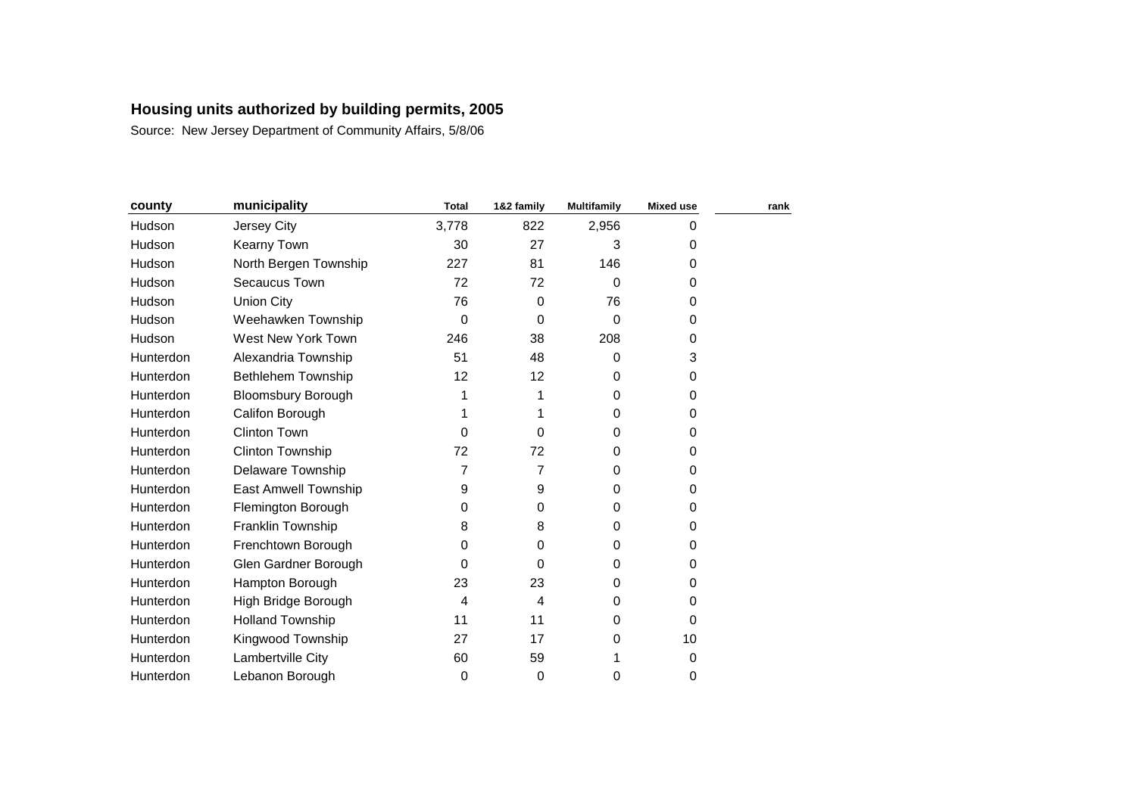| county    | municipality              | <b>Total</b> | 1&2 family | <b>Multifamily</b> | <b>Mixed use</b> | rank |
|-----------|---------------------------|--------------|------------|--------------------|------------------|------|
| Hudson    | Jersey City               | 3,778        | 822        | 2,956              | 0                |      |
| Hudson    | <b>Kearny Town</b>        | 30           | 27         | 3                  | 0                |      |
| Hudson    | North Bergen Township     | 227          | 81         | 146                | 0                |      |
| Hudson    | Secaucus Town             | 72           | 72         | 0                  | 0                |      |
| Hudson    | <b>Union City</b>         | 76           | 0          | 76                 | 0                |      |
| Hudson    | Weehawken Township        | 0            | 0          | 0                  | 0                |      |
| Hudson    | West New York Town        | 246          | 38         | 208                | 0                |      |
| Hunterdon | Alexandria Township       | 51           | 48         | $\Omega$           | 3                |      |
| Hunterdon | Bethlehem Township        | 12           | 12         | $\Omega$           | 0                |      |
| Hunterdon | <b>Bloomsbury Borough</b> | 1            |            | 0                  | 0                |      |
| Hunterdon | Califon Borough           | 1            |            | $\Omega$           | 0                |      |
| Hunterdon | <b>Clinton Town</b>       | 0            | 0          | 0                  | 0                |      |
| Hunterdon | <b>Clinton Township</b>   | 72           | 72         | $\Omega$           | 0                |      |
| Hunterdon | <b>Delaware Township</b>  | 7            | 7          | $\Omega$           | 0                |      |
| Hunterdon | East Amwell Township      | 9            | 9          | 0                  | 0                |      |
| Hunterdon | Flemington Borough        | 0            | 0          | $\Omega$           | 0                |      |
| Hunterdon | Franklin Township         | 8            | 8          | $\Omega$           | 0                |      |
| Hunterdon | Frenchtown Borough        | 0            | 0          | $\Omega$           | 0                |      |
| Hunterdon | Glen Gardner Borough      | 0            | 0          | $\Omega$           | 0                |      |
| Hunterdon | Hampton Borough           | 23           | 23         | 0                  | 0                |      |
| Hunterdon | High Bridge Borough       | 4            | 4          | 0                  | 0                |      |
| Hunterdon | <b>Holland Township</b>   | 11           | 11         | 0                  | 0                |      |
| Hunterdon | Kingwood Township         | 27           | 17         | 0                  | 10               |      |
| Hunterdon | Lambertville City         | 60           | 59         | 1                  | 0                |      |
| Hunterdon | Lebanon Borough           | 0            | 0          | 0                  | 0                |      |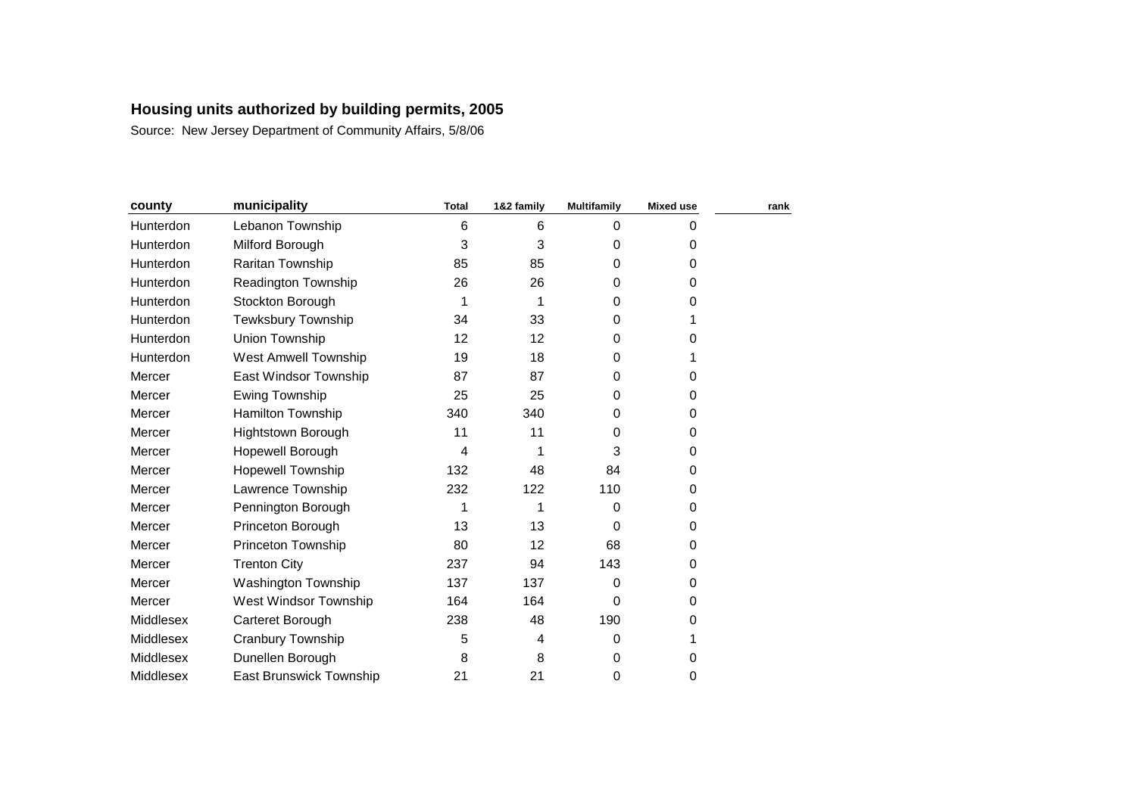| county    | municipality                   | <b>Total</b>   | 1&2 family | <b>Multifamily</b> | <b>Mixed use</b> | rank |
|-----------|--------------------------------|----------------|------------|--------------------|------------------|------|
| Hunterdon | Lebanon Township               | $6\phantom{1}$ | 6          | $\Omega$           | 0                |      |
| Hunterdon | Milford Borough                | 3              | 3          | 0                  | 0                |      |
| Hunterdon | Raritan Township               | 85             | 85         | 0                  | 0                |      |
| Hunterdon | <b>Readington Township</b>     | 26             | 26         | 0                  | 0                |      |
| Hunterdon | Stockton Borough               | 1              |            | 0                  | 0                |      |
| Hunterdon | Tewksbury Township             | 34             | 33         | 0                  |                  |      |
| Hunterdon | Union Township                 | 12             | 12         | $\Omega$           | 0                |      |
| Hunterdon | <b>West Amwell Township</b>    | 19             | 18         | 0                  |                  |      |
| Mercer    | East Windsor Township          | 87             | 87         | $\Omega$           | 0                |      |
| Mercer    | <b>Ewing Township</b>          | 25             | 25         | 0                  | 0                |      |
| Mercer    | <b>Hamilton Township</b>       | 340            | 340        | $\Omega$           | 0                |      |
| Mercer    | Hightstown Borough             | 11             | 11         | 0                  | 0                |      |
| Mercer    | Hopewell Borough               | 4              |            | 3                  | 0                |      |
| Mercer    | <b>Hopewell Township</b>       | 132            | 48         | 84                 | 0                |      |
| Mercer    | Lawrence Township              | 232            | 122        | 110                | 0                |      |
| Mercer    | Pennington Borough             | 1              |            | $\Omega$           | 0                |      |
| Mercer    | Princeton Borough              | 13             | 13         | $\Omega$           | 0                |      |
| Mercer    | <b>Princeton Township</b>      | 80             | 12         | 68                 | 0                |      |
| Mercer    | <b>Trenton City</b>            | 237            | 94         | 143                | 0                |      |
| Mercer    | Washington Township            | 137            | 137        | $\Omega$           | 0                |      |
| Mercer    | West Windsor Township          | 164            | 164        | 0                  | 0                |      |
| Middlesex | Carteret Borough               | 238            | 48         | 190                | 0                |      |
| Middlesex | Cranbury Township              | 5              | 4          | 0                  |                  |      |
| Middlesex | Dunellen Borough               | 8              | 8          | 0                  | 0                |      |
| Middlesex | <b>East Brunswick Township</b> | 21             | 21         | 0                  | 0                |      |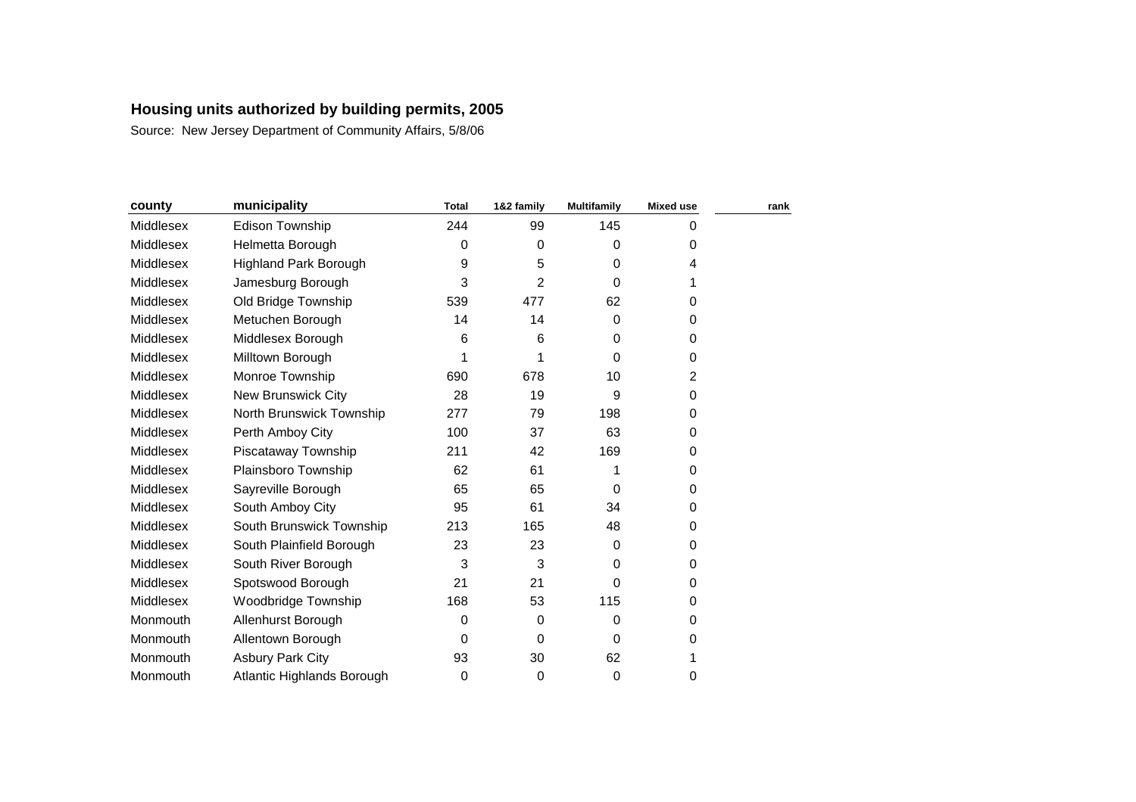| county    | municipality                 | <b>Total</b> | 1&2 family  | <b>Multifamily</b> | <b>Mixed use</b> | rank |
|-----------|------------------------------|--------------|-------------|--------------------|------------------|------|
| Middlesex | Edison Township              | 244          | 99          | 145                | 0                |      |
| Middlesex | Helmetta Borough             | 0            | $\Omega$    | 0                  | 0                |      |
| Middlesex | <b>Highland Park Borough</b> | 9            | 5           | $\Omega$           | 4                |      |
| Middlesex | Jamesburg Borough            | 3            | 2           | $\Omega$           | 1                |      |
| Middlesex | Old Bridge Township          | 539          | 477         | 62                 | 0                |      |
| Middlesex | Metuchen Borough             | 14           | 14          | $\Omega$           | 0                |      |
| Middlesex | Middlesex Borough            | 6            | 6           | $\Omega$           | 0                |      |
| Middlesex | Milltown Borough             | 1            |             | $\Omega$           | 0                |      |
| Middlesex | Monroe Township              | 690          | 678         | 10                 | 2                |      |
| Middlesex | <b>New Brunswick City</b>    | 28           | 19          | 9                  | 0                |      |
| Middlesex | North Brunswick Township     | 277          | 79          | 198                | 0                |      |
| Middlesex | Perth Amboy City             | 100          | 37          | 63                 | 0                |      |
| Middlesex | Piscataway Township          | 211          | 42          | 169                | 0                |      |
| Middlesex | Plainsboro Township          | 62           | 61          |                    | 0                |      |
| Middlesex | Sayreville Borough           | 65           | 65          | $\Omega$           | 0                |      |
| Middlesex | South Amboy City             | 95           | 61          | 34                 | 0                |      |
| Middlesex | South Brunswick Township     | 213          | 165         | 48                 | 0                |      |
| Middlesex | South Plainfield Borough     | 23           | 23          | $\Omega$           | 0                |      |
| Middlesex | South River Borough          | 3            | 3           | $\Omega$           | 0                |      |
| Middlesex | Spotswood Borough            | 21           | 21          | 0                  | 0                |      |
| Middlesex | Woodbridge Township          | 168          | 53          | 115                | 0                |      |
| Monmouth  | Allenhurst Borough           | 0            | 0           | 0                  | 0                |      |
| Monmouth  | Allentown Borough            | 0            | 0           | 0                  | 0                |      |
| Monmouth  | <b>Asbury Park City</b>      | 93           | 30          | 62                 |                  |      |
| Monmouth  | Atlantic Highlands Borough   | 0            | $\mathbf 0$ | $\Omega$           | 0                |      |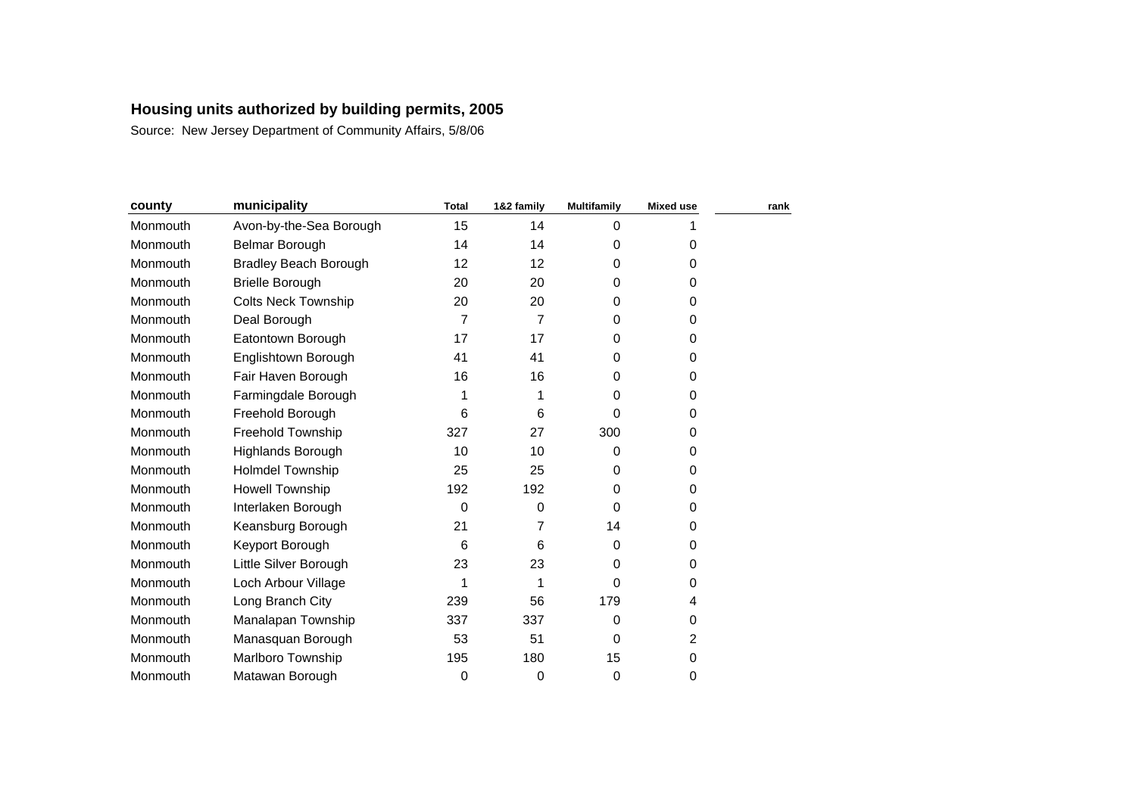| county   | municipality                 | <b>Total</b> | 1&2 family | <b>Multifamily</b> | <b>Mixed use</b> | rank |
|----------|------------------------------|--------------|------------|--------------------|------------------|------|
| Monmouth | Avon-by-the-Sea Borough      | 15           | 14         | $\Omega$           |                  |      |
| Monmouth | <b>Belmar Borough</b>        | 14           | 14         | 0                  | 0                |      |
| Monmouth | <b>Bradley Beach Borough</b> | 12           | 12         | 0                  | 0                |      |
| Monmouth | <b>Brielle Borough</b>       | 20           | 20         | 0                  | 0                |      |
| Monmouth | <b>Colts Neck Township</b>   | 20           | 20         | 0                  | 0                |      |
| Monmouth | Deal Borough                 | 7            | 7          | $\Omega$           | 0                |      |
| Monmouth | Eatontown Borough            | 17           | 17         | 0                  | 0                |      |
| Monmouth | Englishtown Borough          | 41           | 41         | 0                  | 0                |      |
| Monmouth | Fair Haven Borough           | 16           | 16         | $\Omega$           | 0                |      |
| Monmouth | Farmingdale Borough          | 1            | 1          | 0                  | 0                |      |
| Monmouth | Freehold Borough             | 6            | 6          | 0                  | 0                |      |
| Monmouth | Freehold Township            | 327          | 27         | 300                | 0                |      |
| Monmouth | <b>Highlands Borough</b>     | 10           | 10         | $\Omega$           | 0                |      |
| Monmouth | <b>Holmdel Township</b>      | 25           | 25         | 0                  | 0                |      |
| Monmouth | <b>Howell Township</b>       | 192          | 192        | 0                  | 0                |      |
| Monmouth | Interlaken Borough           | 0            | 0          | $\Omega$           | 0                |      |
| Monmouth | Keansburg Borough            | 21           | 7          | 14                 | 0                |      |
| Monmouth | Keyport Borough              | 6            | 6          | 0                  | 0                |      |
| Monmouth | Little Silver Borough        | 23           | 23         | 0                  | 0                |      |
| Monmouth | Loch Arbour Village          | 1            | 1          | 0                  | 0                |      |
| Monmouth | Long Branch City             | 239          | 56         | 179                | 4                |      |
| Monmouth | Manalapan Township           | 337          | 337        | $\Omega$           | 0                |      |
| Monmouth | Manasquan Borough            | 53           | 51         | $\Omega$           | 2                |      |
| Monmouth | Marlboro Township            | 195          | 180        | 15                 | 0                |      |
| Monmouth | Matawan Borough              | 0            | 0          | 0                  | 0                |      |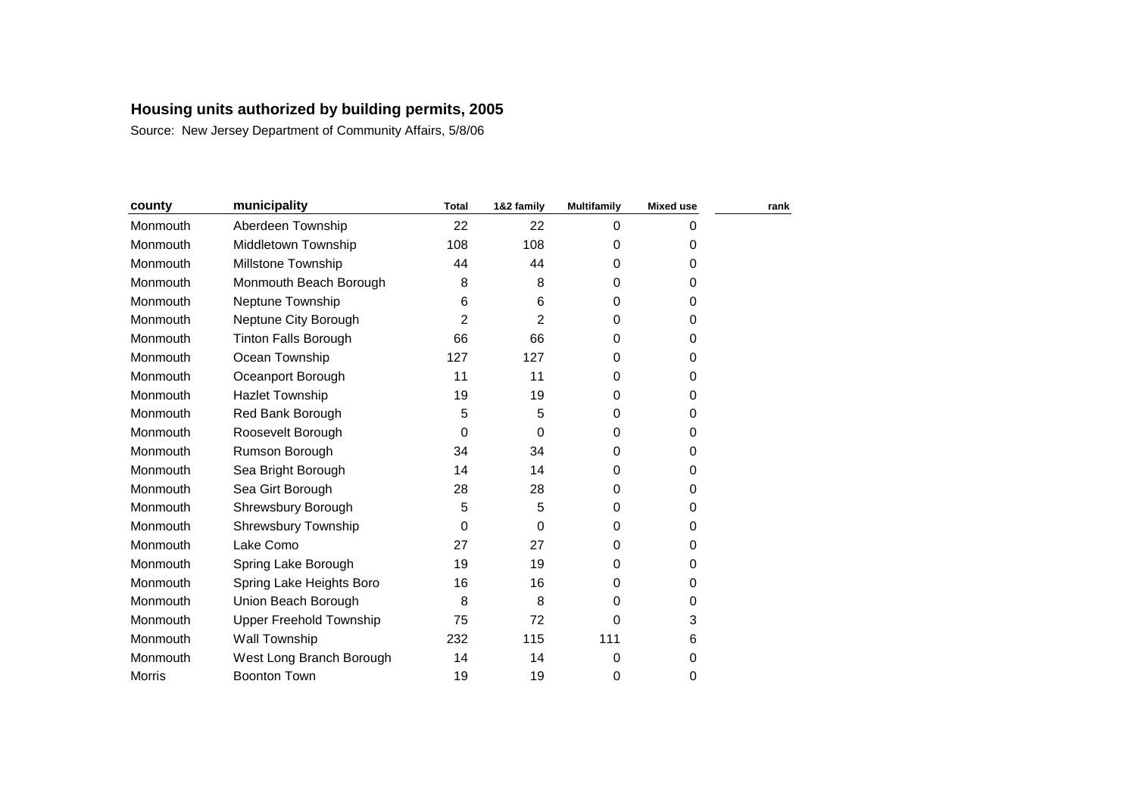| county        | municipality                   | <b>Total</b> | 1&2 family | <b>Multifamily</b> | <b>Mixed use</b> | rank |
|---------------|--------------------------------|--------------|------------|--------------------|------------------|------|
| Monmouth      | Aberdeen Township              | 22           | 22         | $\Omega$           | 0                |      |
| Monmouth      | Middletown Township            | 108          | 108        | $\Omega$           | 0                |      |
| Monmouth      | Millstone Township             | 44           | 44         | $\Omega$           | 0                |      |
| Monmouth      | Monmouth Beach Borough         | 8            | 8          | $\Omega$           | 0                |      |
| Monmouth      | Neptune Township               | 6            | 6          | 0                  | 0                |      |
| Monmouth      | Neptune City Borough           | 2            | 2          | $\Omega$           | 0                |      |
| Monmouth      | <b>Tinton Falls Borough</b>    | 66           | 66         | 0                  | 0                |      |
| Monmouth      | Ocean Township                 | 127          | 127        | 0                  | 0                |      |
| Monmouth      | Oceanport Borough              | 11           | 11         | $\Omega$           | 0                |      |
| Monmouth      | <b>Hazlet Township</b>         | 19           | 19         | 0                  | 0                |      |
| Monmouth      | Red Bank Borough               | 5            | 5          | $\Omega$           | 0                |      |
| Monmouth      | Roosevelt Borough              | 0            | 0          | 0                  | 0                |      |
| Monmouth      | Rumson Borough                 | 34           | 34         | $\Omega$           | 0                |      |
| Monmouth      | Sea Bright Borough             | 14           | 14         | $\Omega$           | 0                |      |
| Monmouth      | Sea Girt Borough               | 28           | 28         | 0                  | 0                |      |
| Monmouth      | Shrewsbury Borough             | 5            | 5          | $\Omega$           | 0                |      |
| Monmouth      | <b>Shrewsbury Township</b>     | 0            | 0          | $\Omega$           | 0                |      |
| Monmouth      | Lake Como                      | 27           | 27         | $\Omega$           | 0                |      |
| Monmouth      | Spring Lake Borough            | 19           | 19         | $\Omega$           | 0                |      |
| Monmouth      | Spring Lake Heights Boro       | 16           | 16         | $\Omega$           | 0                |      |
| Monmouth      | Union Beach Borough            | 8            | 8          | 0                  | 0                |      |
| Monmouth      | <b>Upper Freehold Township</b> | 75           | 72         | 0                  | 3                |      |
| Monmouth      | Wall Township                  | 232          | 115        | 111                | 6                |      |
| Monmouth      | West Long Branch Borough       | 14           | 14         | 0                  | 0                |      |
| <b>Morris</b> | <b>Boonton Town</b>            | 19           | 19         | 0                  | 0                |      |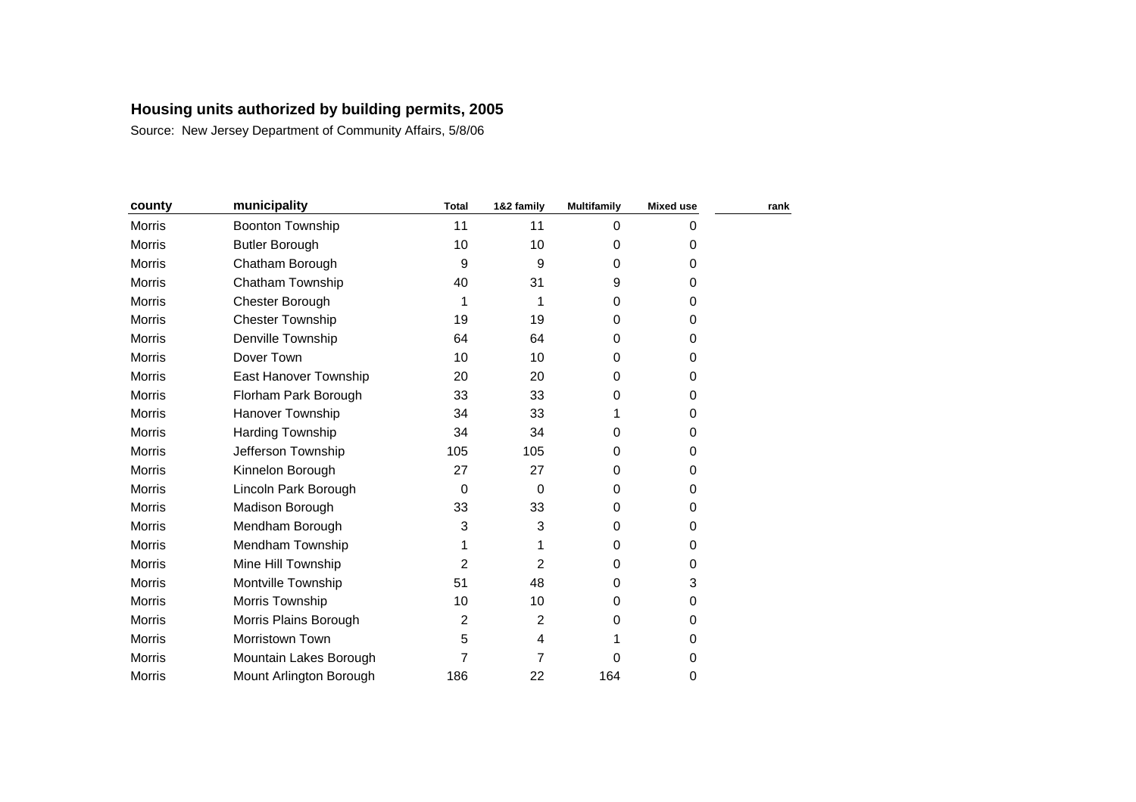| county        | municipality            | <b>Total</b>   | 1&2 family     | <b>Multifamily</b> | <b>Mixed use</b> | rank |
|---------------|-------------------------|----------------|----------------|--------------------|------------------|------|
| Morris        | Boonton Township        | 11             | 11             | $\Omega$           | 0                |      |
| Morris        | <b>Butler Borough</b>   | 10             | 10             | 0                  | 0                |      |
| <b>Morris</b> | Chatham Borough         | 9              | 9              | 0                  | 0                |      |
| <b>Morris</b> | Chatham Township        | 40             | 31             | 9                  | 0                |      |
| <b>Morris</b> | Chester Borough         | 1              |                | 0                  | 0                |      |
| <b>Morris</b> | <b>Chester Township</b> | 19             | 19             | $\Omega$           | 0                |      |
| <b>Morris</b> | Denville Township       | 64             | 64             | $\Omega$           | 0                |      |
| <b>Morris</b> | Dover Town              | 10             | 10             | 0                  | 0                |      |
| Morris        | East Hanover Township   | 20             | 20             | $\Omega$           | 0                |      |
| <b>Morris</b> | Florham Park Borough    | 33             | 33             | 0                  | 0                |      |
| Morris        | <b>Hanover Township</b> | 34             | 33             |                    | 0                |      |
| <b>Morris</b> | Harding Township        | 34             | 34             | 0                  | 0                |      |
| <b>Morris</b> | Jefferson Township      | 105            | 105            | $\Omega$           | 0                |      |
| Morris        | Kinnelon Borough        | 27             | 27             | 0                  | 0                |      |
| <b>Morris</b> | Lincoln Park Borough    | $\mathbf 0$    | $\Omega$       | 0                  | 0                |      |
| <b>Morris</b> | Madison Borough         | 33             | 33             | $\Omega$           | 0                |      |
| <b>Morris</b> | Mendham Borough         | 3              | 3              | 0                  | 0                |      |
| <b>Morris</b> | Mendham Township        | 1              |                | 0                  | 0                |      |
| <b>Morris</b> | Mine Hill Township      | $\overline{2}$ | 2              | 0                  | 0                |      |
| <b>Morris</b> | Montville Township      | 51             | 48             | 0                  | 3                |      |
| <b>Morris</b> | Morris Township         | 10             | 10             | 0                  | 0                |      |
| <b>Morris</b> | Morris Plains Borough   | $\overline{2}$ | $\overline{2}$ | 0                  | 0                |      |
| Morris        | Morristown Town         | 5              | 4              |                    | 0                |      |
| Morris        | Mountain Lakes Borough  | 7              | 7              | 0                  | 0                |      |
| <b>Morris</b> | Mount Arlington Borough | 186            | 22             | 164                | 0                |      |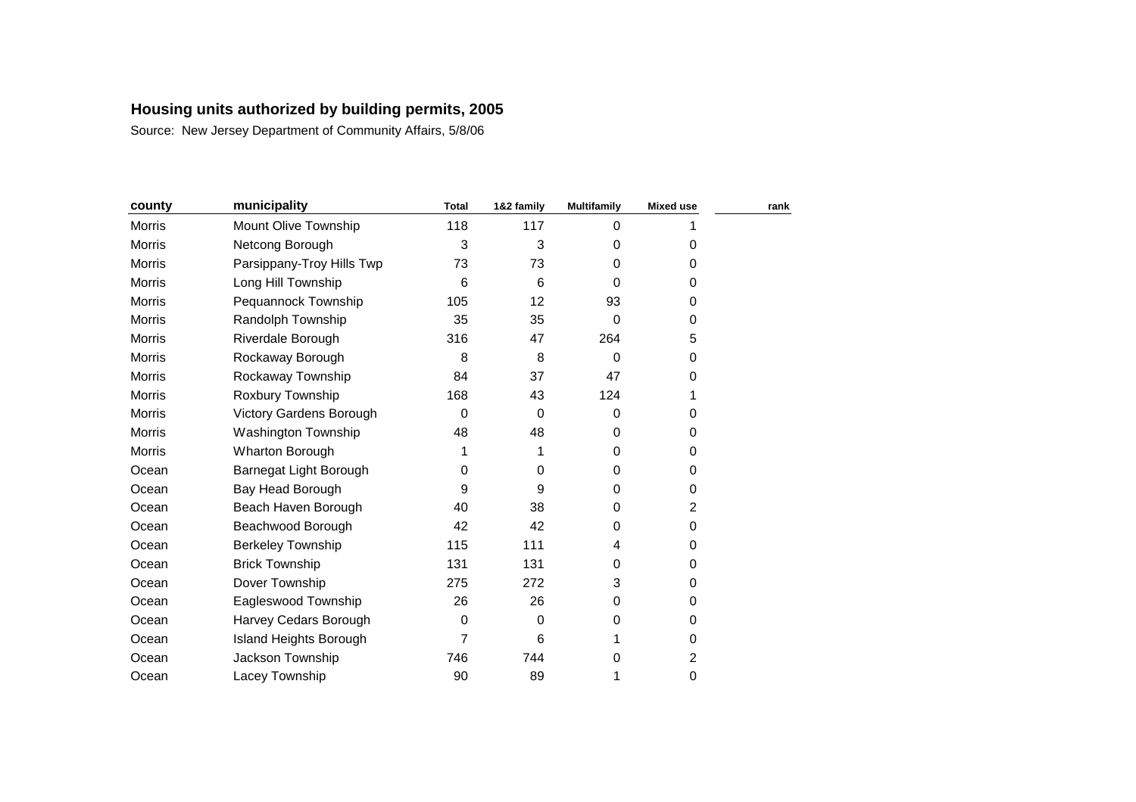| county        | municipality              | <b>Total</b> | 1&2 family | <b>Multifamily</b> | <b>Mixed use</b>        | rank |
|---------------|---------------------------|--------------|------------|--------------------|-------------------------|------|
| Morris        | Mount Olive Township      | 118          | 117        | 0                  |                         |      |
| <b>Morris</b> | Netcong Borough           | 3            | 3          | $\Omega$           | 0                       |      |
| Morris        | Parsippany-Troy Hills Twp | 73           | 73         | 0                  | 0                       |      |
| <b>Morris</b> | Long Hill Township        | 6            | 6          | $\Omega$           | 0                       |      |
| Morris        | Pequannock Township       | 105          | 12         | 93                 | 0                       |      |
| Morris        | Randolph Township         | 35           | 35         | 0                  | 0                       |      |
| Morris        | Riverdale Borough         | 316          | 47         | 264                | 5                       |      |
| Morris        | Rockaway Borough          | 8            | 8          | 0                  | 0                       |      |
| <b>Morris</b> | Rockaway Township         | 84           | 37         | 47                 | 0                       |      |
| Morris        | Roxbury Township          | 168          | 43         | 124                |                         |      |
| <b>Morris</b> | Victory Gardens Borough   | 0            | $\Omega$   | $\Omega$           | 0                       |      |
| Morris        | Washington Township       | 48           | 48         | 0                  | 0                       |      |
| <b>Morris</b> | <b>Wharton Borough</b>    | 1            | 1          | 0                  | 0                       |      |
| Ocean         | Barnegat Light Borough    | 0            | 0          | 0                  | 0                       |      |
| Ocean         | Bay Head Borough          | 9            | 9          | $\Omega$           | 0                       |      |
| Ocean         | Beach Haven Borough       | 40           | 38         | 0                  | 2                       |      |
| Ocean         | Beachwood Borough         | 42           | 42         | 0                  | 0                       |      |
| Ocean         | <b>Berkeley Township</b>  | 115          | 111        | 4                  | 0                       |      |
| Ocean         | <b>Brick Township</b>     | 131          | 131        | 0                  | 0                       |      |
| Ocean         | Dover Township            | 275          | 272        | 3                  | 0                       |      |
| Ocean         | Eagleswood Township       | 26           | 26         | 0                  | 0                       |      |
| Ocean         | Harvey Cedars Borough     | 0            | $\Omega$   | 0                  | 0                       |      |
| Ocean         | Island Heights Borough    | 7            | 6          |                    | 0                       |      |
| Ocean         | Jackson Township          | 746          | 744        | 0                  | $\overline{\mathbf{c}}$ |      |
| Ocean         | Lacey Township            | 90           | 89         | 1                  | 0                       |      |
|               |                           |              |            |                    |                         |      |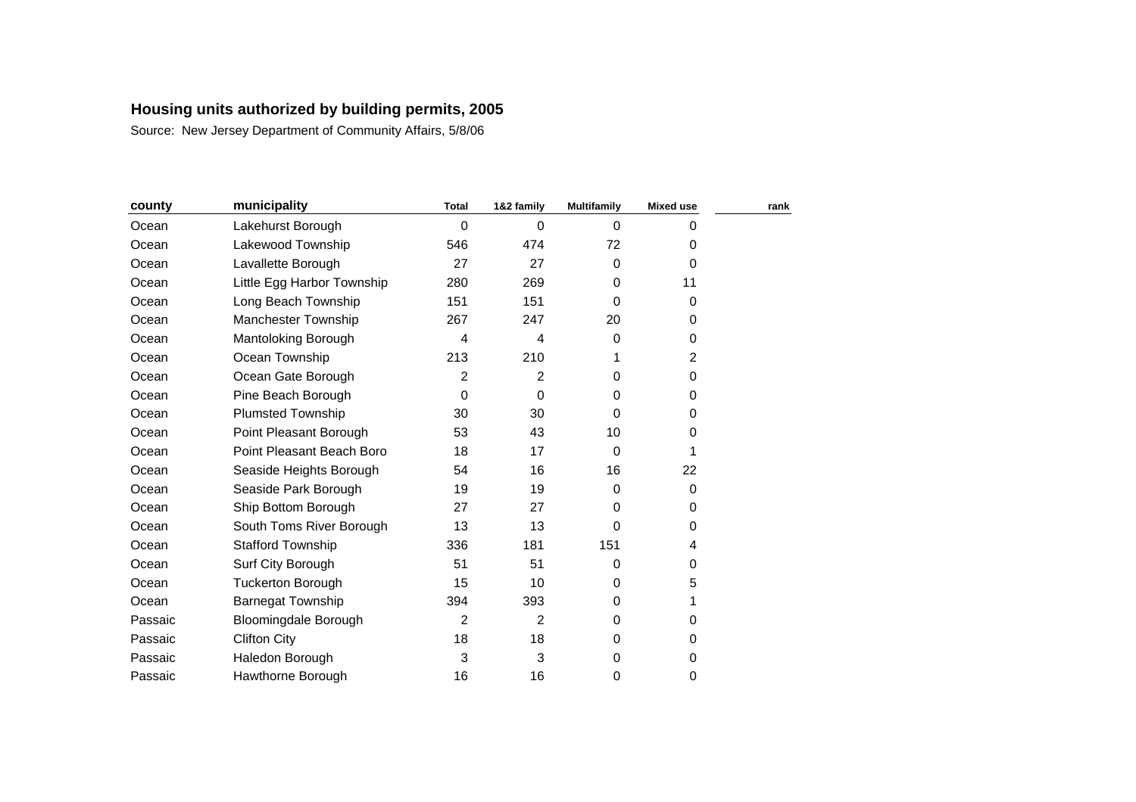| county  | municipality                | <b>Total</b>   | 1&2 family     | <b>Multifamily</b> | <b>Mixed use</b> | rank |
|---------|-----------------------------|----------------|----------------|--------------------|------------------|------|
| Ocean   | Lakehurst Borough           | $\mathbf 0$    | $\Omega$       | $\Omega$           | 0                |      |
| Ocean   | Lakewood Township           | 546            | 474            | 72                 | 0                |      |
| Ocean   | Lavallette Borough          | 27             | 27             | 0                  | $\mathbf 0$      |      |
| Ocean   | Little Egg Harbor Township  | 280            | 269            | $\Omega$           | 11               |      |
| Ocean   | Long Beach Township         | 151            | 151            | 0                  | 0                |      |
| Ocean   | <b>Manchester Township</b>  | 267            | 247            | 20                 | 0                |      |
| Ocean   | Mantoloking Borough         | 4              | 4              | 0                  | 0                |      |
| Ocean   | Ocean Township              | 213            | 210            |                    | 2                |      |
| Ocean   | Ocean Gate Borough          | $\overline{2}$ | 2              | 0                  | 0                |      |
| Ocean   | Pine Beach Borough          | $\mathbf 0$    | 0              | 0                  | 0                |      |
| Ocean   | <b>Plumsted Township</b>    | 30             | 30             | $\Omega$           | 0                |      |
| Ocean   | Point Pleasant Borough      | 53             | 43             | 10                 | 0                |      |
| Ocean   | Point Pleasant Beach Boro   | 18             | 17             | $\Omega$           | 1                |      |
| Ocean   | Seaside Heights Borough     | 54             | 16             | 16                 | 22               |      |
| Ocean   | Seaside Park Borough        | 19             | 19             | $\Omega$           | 0                |      |
| Ocean   | Ship Bottom Borough         | 27             | 27             | 0                  | 0                |      |
| Ocean   | South Toms River Borough    | 13             | 13             | 0                  | 0                |      |
| Ocean   | <b>Stafford Township</b>    | 336            | 181            | 151                | 4                |      |
| Ocean   | Surf City Borough           | 51             | 51             | 0                  | 0                |      |
| Ocean   | <b>Tuckerton Borough</b>    | 15             | 10             | $\Omega$           | 5                |      |
| Ocean   | <b>Barnegat Township</b>    | 394            | 393            | 0                  | 1                |      |
| Passaic | <b>Bloomingdale Borough</b> | $\overline{2}$ | $\overline{2}$ | $\Omega$           | 0                |      |
| Passaic | <b>Clifton City</b>         | 18             | 18             | 0                  | 0                |      |
| Passaic | Haledon Borough             | 3              | 3              | 0                  | 0                |      |
| Passaic | Hawthorne Borough           | 16             | 16             | 0                  | 0                |      |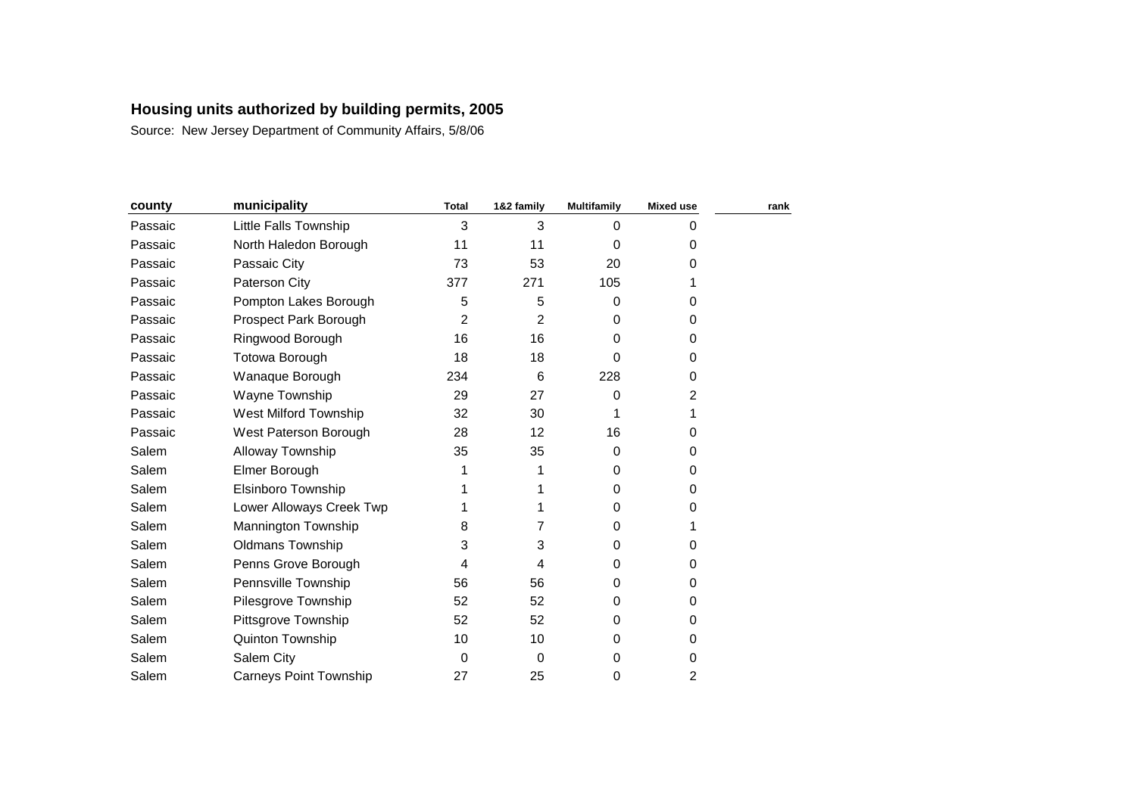| county  | municipality                  | <b>Total</b> | 1&2 family | <b>Multifamily</b> | <b>Mixed use</b> | rank |
|---------|-------------------------------|--------------|------------|--------------------|------------------|------|
| Passaic | Little Falls Township         | 3            | 3          | $\Omega$           | 0                |      |
| Passaic | North Haledon Borough         | 11           | 11         | 0                  | 0                |      |
| Passaic | Passaic City                  | 73           | 53         | 20                 | 0                |      |
| Passaic | Paterson City                 | 377          | 271        | 105                | 1                |      |
| Passaic | Pompton Lakes Borough         | 5            | 5          | $\Omega$           | 0                |      |
| Passaic | Prospect Park Borough         | 2            | 2          | 0                  | 0                |      |
| Passaic | Ringwood Borough              | 16           | 16         | 0                  | 0                |      |
| Passaic | Totowa Borough                | 18           | 18         | 0                  | 0                |      |
| Passaic | Wanaque Borough               | 234          | 6          | 228                | 0                |      |
| Passaic | Wayne Township                | 29           | 27         | $\Omega$           | 2                |      |
| Passaic | West Milford Township         | 32           | 30         |                    |                  |      |
| Passaic | West Paterson Borough         | 28           | 12         | 16                 | 0                |      |
| Salem   | Alloway Township              | 35           | 35         | 0                  | 0                |      |
| Salem   | Elmer Borough                 |              |            | 0                  | 0                |      |
| Salem   | Elsinboro Township            |              |            | 0                  | 0                |      |
| Salem   | Lower Alloways Creek Twp      |              |            | 0                  | 0                |      |
| Salem   | Mannington Township           | 8            | 7          | 0                  |                  |      |
| Salem   | <b>Oldmans Township</b>       | 3            | 3          | $\Omega$           | 0                |      |
| Salem   | Penns Grove Borough           | 4            | 4          | $\Omega$           | 0                |      |
| Salem   | Pennsville Township           | 56           | 56         | $\Omega$           | 0                |      |
| Salem   | Pilesgrove Township           | 52           | 52         | 0                  | 0                |      |
| Salem   | Pittsgrove Township           | 52           | 52         | $\Omega$           | 0                |      |
| Salem   | Quinton Township              | 10           | 10         | $\Omega$           | 0                |      |
| Salem   | Salem City                    | 0            | $\Omega$   | 0                  | 0                |      |
| Salem   | <b>Carneys Point Township</b> | 27           | 25         | 0                  | $\overline{c}$   |      |
|         |                               |              |            |                    |                  |      |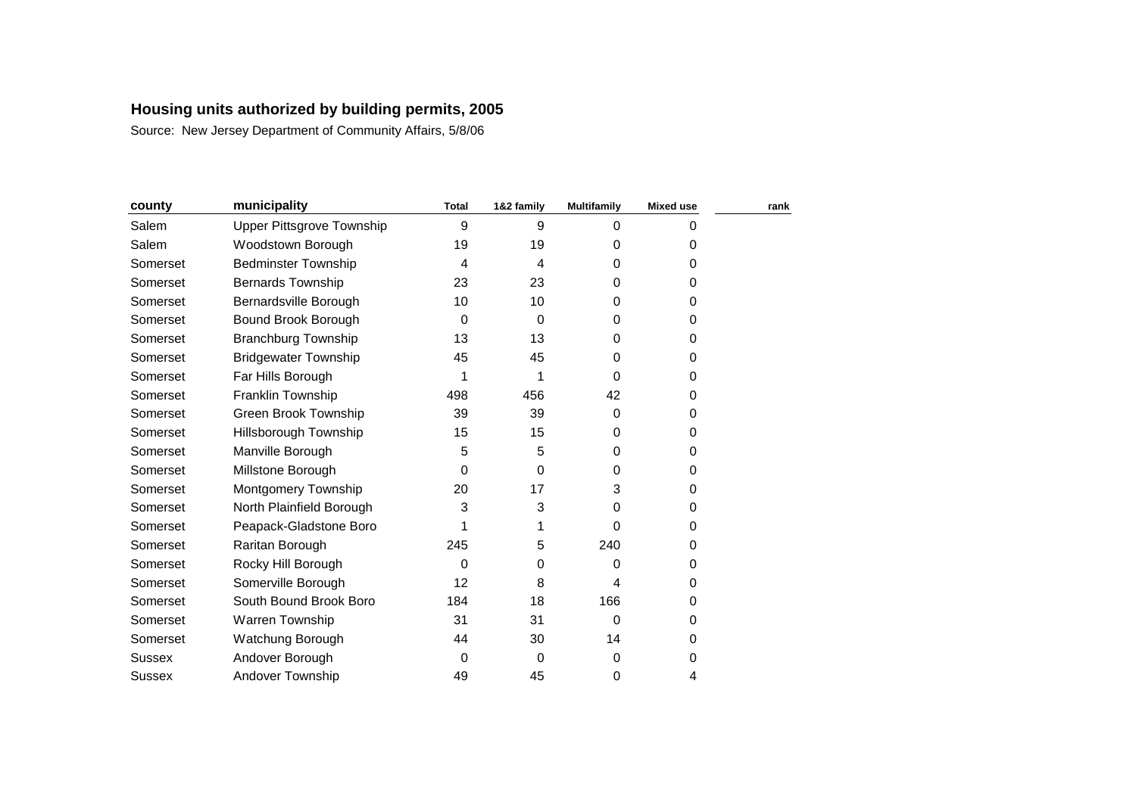| municipality                | <b>Total</b> | 1&2 family | <b>Multifamily</b> | <b>Mixed use</b> | rank |
|-----------------------------|--------------|------------|--------------------|------------------|------|
| Upper Pittsgrove Township   | 9            | 9          | $\Omega$           | 0                |      |
| Woodstown Borough           | 19           | 19         | 0                  | 0                |      |
| <b>Bedminster Township</b>  | 4            | 4          | 0                  | 0                |      |
| <b>Bernards Township</b>    | 23           | 23         | 0                  | 0                |      |
| Bernardsville Borough       | 10           | 10         | 0                  | 0                |      |
| Bound Brook Borough         | 0            | 0          | $\Omega$           | 0                |      |
| <b>Branchburg Township</b>  | 13           | 13         | 0                  | 0                |      |
| <b>Bridgewater Township</b> | 45           | 45         | $\Omega$           | 0                |      |
| Far Hills Borough           | 1            |            | $\Omega$           | 0                |      |
| Franklin Township           | 498          | 456        | 42                 | 0                |      |
| Green Brook Township        | 39           | 39         | $\Omega$           | 0                |      |
| Hillsborough Township       | 15           | 15         | 0                  | 0                |      |
| Manville Borough            | 5            | 5          | 0                  | 0                |      |
| Millstone Borough           | 0            | $\Omega$   | $\Omega$           | 0                |      |
| Montgomery Township         | 20           | 17         | 3                  | 0                |      |
| North Plainfield Borough    | 3            | 3          | 0                  | 0                |      |
| Peapack-Gladstone Boro      | 1            |            | 0                  | 0                |      |
| Raritan Borough             | 245          | 5          | 240                | 0                |      |
| Rocky Hill Borough          | 0            | 0          | 0                  | 0                |      |
| Somerville Borough          | 12           | 8          | 4                  | 0                |      |
| South Bound Brook Boro      | 184          | 18         | 166                | 0                |      |
| Warren Township             | 31           | 31         | $\Omega$           | 0                |      |
| Watchung Borough            | 44           | 30         | 14                 | 0                |      |
| Andover Borough             | 0            | 0          | $\Omega$           | 0                |      |
| Andover Township            | 49           | 45         | 0                  | 4                |      |
|                             |              |            |                    |                  |      |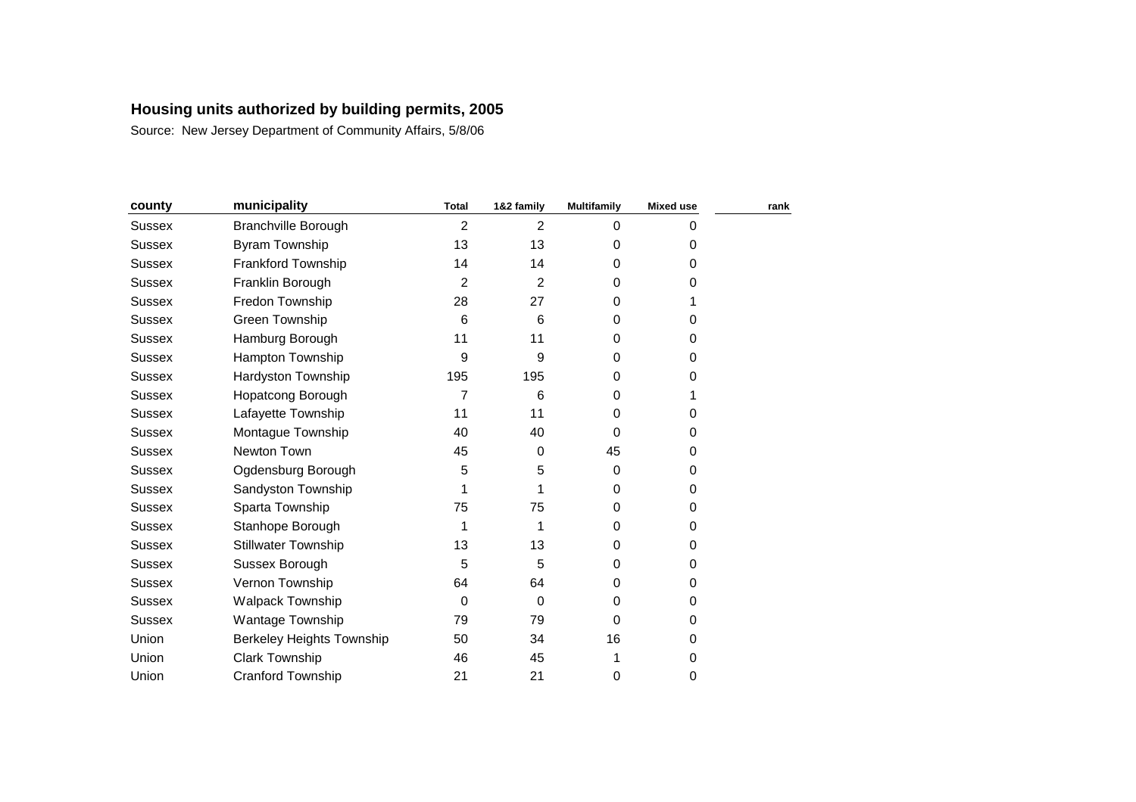| county        | municipality                     | <b>Total</b> | 1&2 family     | <b>Multifamily</b> | <b>Mixed use</b> | rank |
|---------------|----------------------------------|--------------|----------------|--------------------|------------------|------|
| <b>Sussex</b> | <b>Branchville Borough</b>       | 2            | $\overline{2}$ | $\Omega$           | 0                |      |
| Sussex        | <b>Byram Township</b>            | 13           | 13             | 0                  | 0                |      |
| <b>Sussex</b> | Frankford Township               | 14           | 14             | $\Omega$           | 0                |      |
| Sussex        | Franklin Borough                 | 2            | $\overline{2}$ | $\Omega$           | 0                |      |
| <b>Sussex</b> | Fredon Township                  | 28           | 27             | 0                  |                  |      |
| <b>Sussex</b> | Green Township                   | 6            | 6              | 0                  | 0                |      |
| Sussex        | Hamburg Borough                  | 11           | 11             | $\Omega$           | 0                |      |
| <b>Sussex</b> | Hampton Township                 | 9            | 9              | 0                  | 0                |      |
| Sussex        | Hardyston Township               | 195          | 195            | 0                  | 0                |      |
| <b>Sussex</b> | Hopatcong Borough                | 7            | 6              | $\Omega$           |                  |      |
| Sussex        | Lafayette Township               | 11           | 11             | 0                  | 0                |      |
| <b>Sussex</b> | Montague Township                | 40           | 40             | $\Omega$           | 0                |      |
| Sussex        | Newton Town                      | 45           | $\Omega$       | 45                 | 0                |      |
| <b>Sussex</b> | Ogdensburg Borough               | 5            | 5              | $\Omega$           | 0                |      |
| <b>Sussex</b> | Sandyston Township               | 1            |                | 0                  | 0                |      |
| <b>Sussex</b> | Sparta Township                  | 75           | 75             | 0                  | 0                |      |
| <b>Sussex</b> | Stanhope Borough                 | 1            | 1              | 0                  | 0                |      |
| <b>Sussex</b> | <b>Stillwater Township</b>       | 13           | 13             | $\Omega$           | 0                |      |
| <b>Sussex</b> | Sussex Borough                   | 5            | 5              | 0                  | 0                |      |
| Sussex        | Vernon Township                  | 64           | 64             | 0                  | 0                |      |
| Sussex        | Walpack Township                 | 0            | $\Omega$       | 0                  | 0                |      |
| <b>Sussex</b> | Wantage Township                 | 79           | 79             | $\Omega$           | 0                |      |
| Union         | <b>Berkeley Heights Township</b> | 50           | 34             | 16                 | 0                |      |
| Union         | <b>Clark Township</b>            | 46           | 45             | 1                  | 0                |      |
| Union         | <b>Cranford Township</b>         | 21           | 21             | 0                  | 0                |      |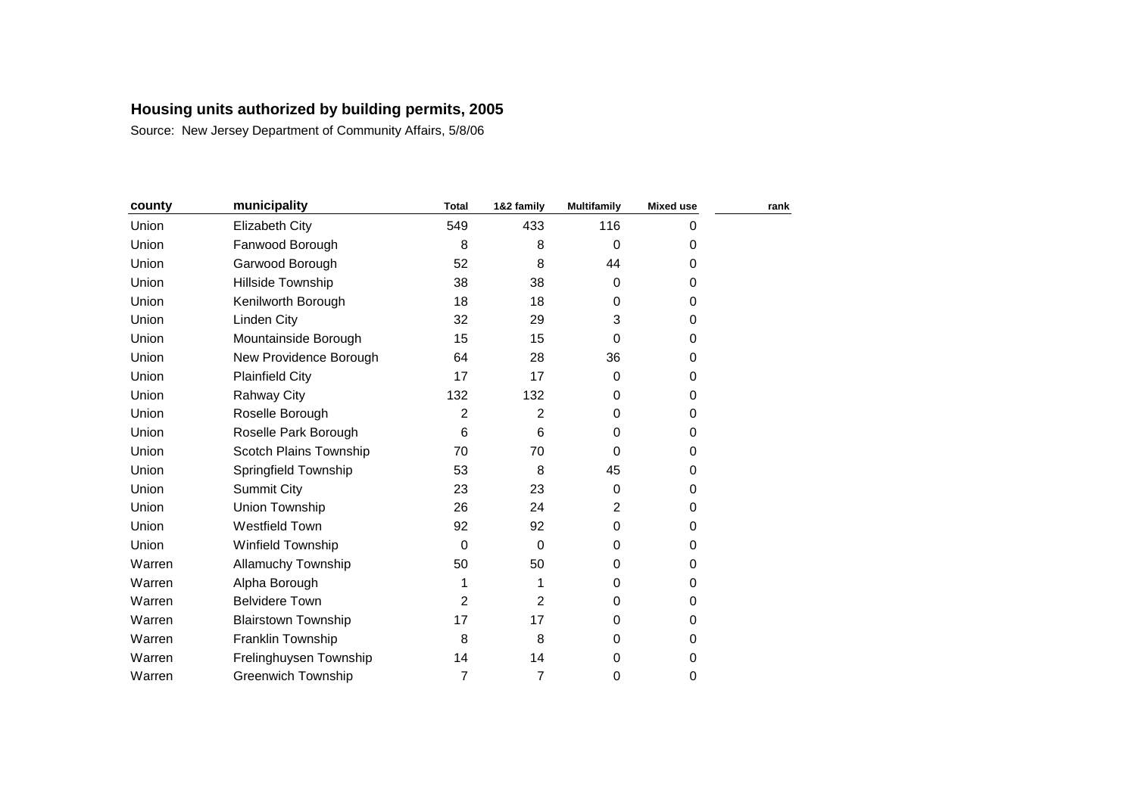| county | municipality               | <b>Total</b>   | 1&2 family     | <b>Multifamily</b> | <b>Mixed use</b> | rank |
|--------|----------------------------|----------------|----------------|--------------------|------------------|------|
| Union  | Elizabeth City             | 549            | 433            | 116                | 0                |      |
| Union  | Fanwood Borough            | 8              | 8              | 0                  | 0                |      |
| Union  | Garwood Borough            | 52             | 8              | 44                 | 0                |      |
| Union  | Hillside Township          | 38             | 38             | $\Omega$           | 0                |      |
| Union  | Kenilworth Borough         | 18             | 18             | 0                  | 0                |      |
| Union  | Linden City                | 32             | 29             | 3                  | 0                |      |
| Union  | Mountainside Borough       | 15             | 15             | $\Omega$           | 0                |      |
| Union  | New Providence Borough     | 64             | 28             | 36                 | 0                |      |
| Union  | <b>Plainfield City</b>     | 17             | 17             | $\Omega$           | 0                |      |
| Union  | <b>Rahway City</b>         | 132            | 132            | $\Omega$           | 0                |      |
| Union  | Roselle Borough            | $\overline{c}$ | $\overline{2}$ | 0                  | 0                |      |
| Union  | Roselle Park Borough       | 6              | 6              | 0                  | 0                |      |
| Union  | Scotch Plains Township     | 70             | 70             | $\Omega$           | 0                |      |
| Union  | Springfield Township       | 53             | 8              | 45                 | 0                |      |
| Union  | Summit City                | 23             | 23             | 0                  | 0                |      |
| Union  | Union Township             | 26             | 24             | $\overline{2}$     | 0                |      |
| Union  | <b>Westfield Town</b>      | 92             | 92             | $\Omega$           | 0                |      |
| Union  | Winfield Township          | 0              | $\Omega$       | $\Omega$           | 0                |      |
| Warren | Allamuchy Township         | 50             | 50             | 0                  | 0                |      |
| Warren | Alpha Borough              | 1              |                | 0                  | 0                |      |
| Warren | <b>Belvidere Town</b>      | 2              | $\overline{2}$ | 0                  | 0                |      |
| Warren | <b>Blairstown Township</b> | 17             | 17             | $\Omega$           | 0                |      |
| Warren | Franklin Township          | 8              | 8              | $\Omega$           | 0                |      |
| Warren | Frelinghuysen Township     | 14             | 14             | 0                  | 0                |      |
| Warren | <b>Greenwich Township</b>  | 7              | 7              | 0                  | 0                |      |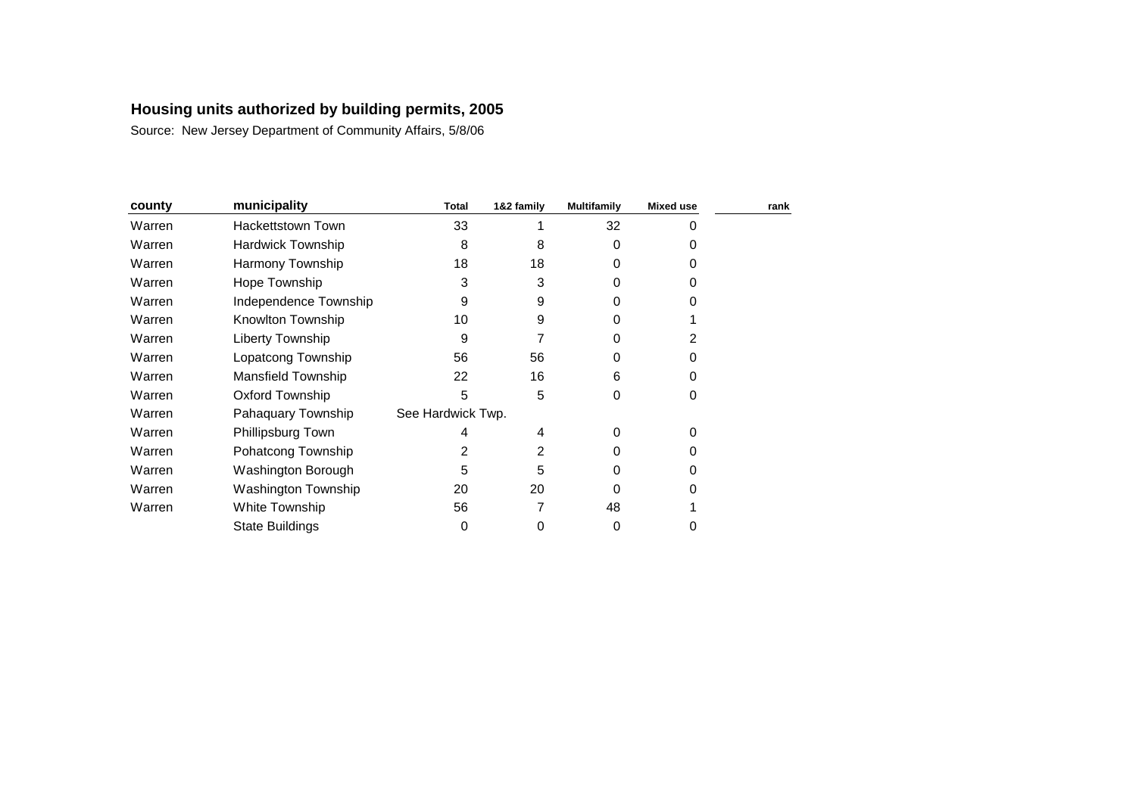| county | municipality             | Total             | 1&2 family | <b>Multifamily</b> | <b>Mixed use</b> | rank |
|--------|--------------------------|-------------------|------------|--------------------|------------------|------|
| Warren | Hackettstown Town        | 33                |            | 32                 | 0                |      |
| Warren | <b>Hardwick Township</b> | 8                 | 8          | 0                  | 0                |      |
| Warren | Harmony Township         | 18                | 18         | O                  | 0                |      |
| Warren | Hope Township            | 3                 | 3          | O                  | 0                |      |
| Warren | Independence Township    | 9                 | 9          | Ω                  |                  |      |
| Warren | Knowlton Township        | 10                | 9          | Ω                  |                  |      |
| Warren | Liberty Township         | 9                 |            | 0                  | 2                |      |
| Warren | Lopatcong Township       | 56                | 56         | O                  | 0                |      |
| Warren | Mansfield Township       | 22                | 16         | 6                  | 0                |      |
| Warren | <b>Oxford Township</b>   | 5                 | 5          | 0                  | 0                |      |
| Warren | Pahaquary Township       | See Hardwick Twp. |            |                    |                  |      |
| Warren | Phillipsburg Town        | 4                 | 4          | 0                  | 0                |      |
| Warren | Pohatcong Township       | 2                 | 2          | O                  | 0                |      |
| Warren | Washington Borough       | 5                 | 5          | O                  | 0                |      |
| Warren | Washington Township      | 20                | 20         | 0                  |                  |      |
| Warren | White Township           | 56                |            | 48                 |                  |      |
|        | <b>State Buildings</b>   | 0                 | 0          | 0                  | 0                |      |